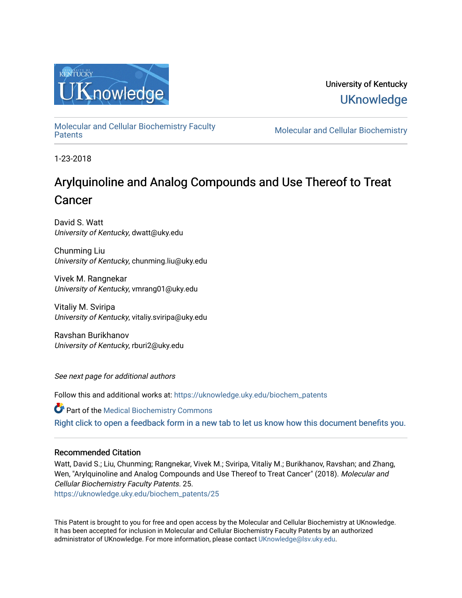

University of Kentucky **UKnowledge** 

[Molecular and Cellular Biochemistry Faculty](https://uknowledge.uky.edu/biochem_patents) 

**Molecular and Cellular Biochemistry** 

1-23-2018

# Arylquinoline and Analog Compounds and Use Thereof to Treat Cancer

David S. Watt University of Kentucky, dwatt@uky.edu

Chunming Liu University of Kentucky, chunming.liu@uky.edu

Vivek M. Rangnekar University of Kentucky, vmrang01@uky.edu

Vitaliy M. Sviripa University of Kentucky, vitaliy.sviripa@uky.edu

Ravshan Burikhanov University of Kentucky, rburi2@uky.edu

See next page for additional authors

Follow this and additional works at: [https://uknowledge.uky.edu/biochem\\_patents](https://uknowledge.uky.edu/biochem_patents?utm_source=uknowledge.uky.edu%2Fbiochem_patents%2F25&utm_medium=PDF&utm_campaign=PDFCoverPages) 

Part of the [Medical Biochemistry Commons](http://network.bepress.com/hgg/discipline/666?utm_source=uknowledge.uky.edu%2Fbiochem_patents%2F25&utm_medium=PDF&utm_campaign=PDFCoverPages) 

[Right click to open a feedback form in a new tab to let us know how this document benefits you.](https://uky.az1.qualtrics.com/jfe/form/SV_9mq8fx2GnONRfz7)

# Recommended Citation

Watt, David S.; Liu, Chunming; Rangnekar, Vivek M.; Sviripa, Vitaliy M.; Burikhanov, Ravshan; and Zhang, Wen, "Arylquinoline and Analog Compounds and Use Thereof to Treat Cancer" (2018). Molecular and Cellular Biochemistry Faculty Patents. 25. [https://uknowledge.uky.edu/biochem\\_patents/25](https://uknowledge.uky.edu/biochem_patents/25?utm_source=uknowledge.uky.edu%2Fbiochem_patents%2F25&utm_medium=PDF&utm_campaign=PDFCoverPages) 

This Patent is brought to you for free and open access by the Molecular and Cellular Biochemistry at UKnowledge. It has been accepted for inclusion in Molecular and Cellular Biochemistry Faculty Patents by an authorized administrator of UKnowledge. For more information, please contact [UKnowledge@lsv.uky.edu](mailto:UKnowledge@lsv.uky.edu).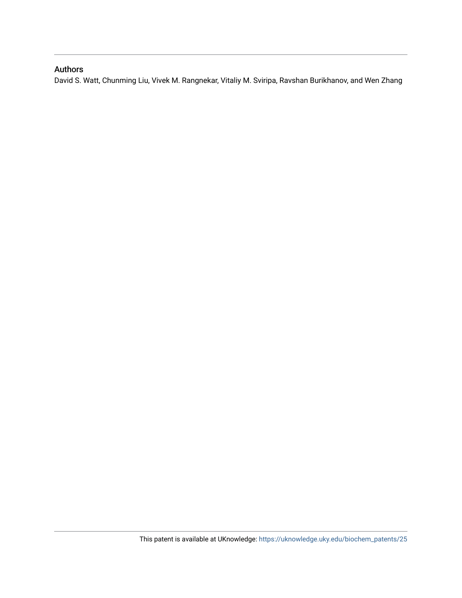# Authors

David S. Watt, Chunming Liu, Vivek M. Rangnekar, Vitaliy M. Sviripa, Ravshan Burikhanov, and Wen Zhang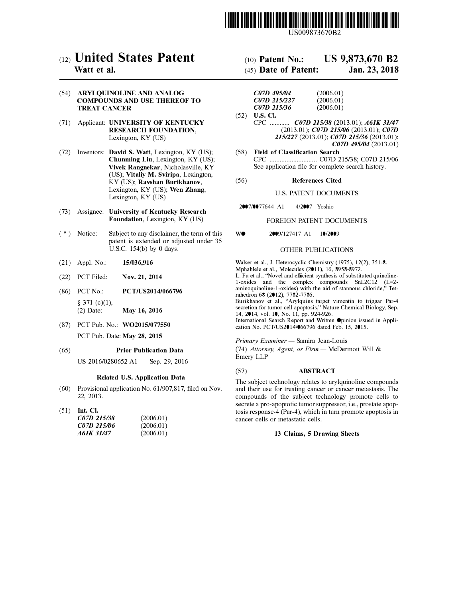

US009873670B2

# c12) **United States Patent**

# **Watt et al.**

(54) **ARYLQUINOLINE AND ANALOG COMPOUNDS AND USE THEREOF TO TREAT CANCER**

- (71) Applicant: **UNIVERSITY OF KENTUCKY RESEARCH FOUNDATION,**  Lexington, KY (US)
- (72) Inventors: **David S. Watt,** Lexington, KY (US); **Chunming Liu,** Lexington, KY (US); **Vivek Rangnekar,** Nicholasville, KY (US); **Vitaliy M. Sviripa,** Lexington, KY (US); **Ravshan Burikhanov,**  Lexington, KY (US); **Wen Zhang,**  Lexington, KY (US)
- (73) Assignee: **University of Kentucky Research Foundation,** Lexington, KY (US)
- $(*)$  Notice: Subject to any disclaimer, the term of this patent is extended or adjusted under 35 U.S.C. 154(b) by O days.
- (21) Appl. No.: **15/036,916**
- (22) PCT Filed: **Nov. 21, 2014**
- (86) PCT No.: **PCT/US2014/066796**   $§$  371 (c)(1), (2) Date: **May 16, 2016**
- (87) PCT Pub. No.: **W02015/077550** PCT Pub. Date: **May 28, 2015**

#### (65) **Prior Publication Data**

US 2016/0280652 Al Sep. 29, 2016

# **Related U.S. Application Data**

- (60) Provisional application No. 61/907,817, filed on Nov. 22, 2013.
- (51) **Int. Cl.**

| C07D 215/38 | (2006.01) |
|-------------|-----------|
| C07D 215/06 | (2006.01) |
| A61K 31/47  | (2006.01) |

# (IO) **Patent No.: US 9,873,670 B2**

# (45) **Date of Patent: Jan.23,2018**

| C07D 495/04  | (2006.01) |
|--------------|-----------|
| C07D 215/227 | (2006.01) |
| C07D 215/36  | (2006.01) |

- (52) **U.S. Cl.** CPC ............ *C07D 215/38* (2013.01); *A61K 31147* (2013.01); *C07D 215/06* (2013.01); *C07D 2151227* (2013.01); *C07D 215/36* (2013.01); *C07D 495/04* (2013.01)
- (58) **Field of Classification Search** CPC ............................ C07D 215/38; C07D 215/06 See application file for complete search history.

### (56) **References Cited**

# U.S. PATENT DOCUMENTS

2007/0077644 Al 4/2007 Yoshio

## FOREIGN PATENT DOCUMENTS

W<sup>o</sup> 2009/127417 Al 10/2009

# OTHER PUBLICATIONS

Walser et al., J. Heterocyclic Chemistry (1975), 12(2), 351-8. Mphahlele et al., Molecules (2011), 16, 8958-8972.

L. Fu et al., "Novel and efficient synthesis of substituted quinoline-1-oxides and the complex compounds SnL2C12 (L=2aminoquinoline-l-oxides) with the aid of stannous chloride," Tetrahedron 68 (2012), 7782-7786.

Burikhanov et al., "Arylquins target vimentin to triggar Par-4 secretion for tumor cell apoptosis," Nature Chemical Biology, Sep. 14, 2014, vol. 10, No. 11, pp. 924-926.

International Search Report and Written Opinion issued in Application No. PCT/US2014/066796 dated Feb. 15, 2015.

*Primary Examiner* - Samira Jean-Louis

(74) Attorney, Agent, or Firm - McDermott Will & Emery LLP

## (57) **ABSTRACT**

The subject technology relates to arylquinoline compounds and their use for treating cancer or cancer metastasis. The compounds of the subject technology promote cells to secrete a pro-apoptotic tumor suppressor, i.e., prostate apoptosis response-4 (Par-4), which in tum promote apoptosis in cancer cells or metastatic cells.

#### **13 Claims, 5 Drawing Sheets**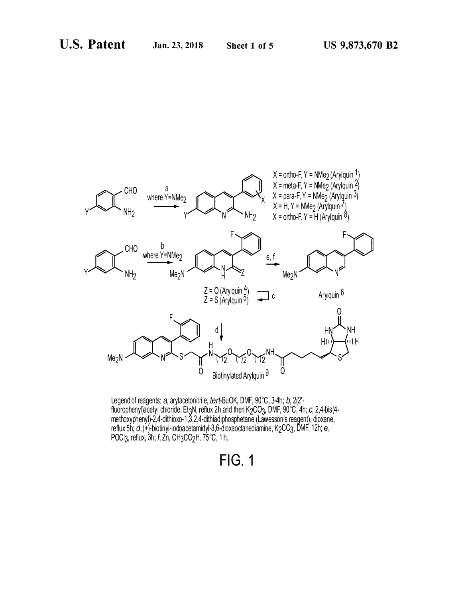



# **FIG.1**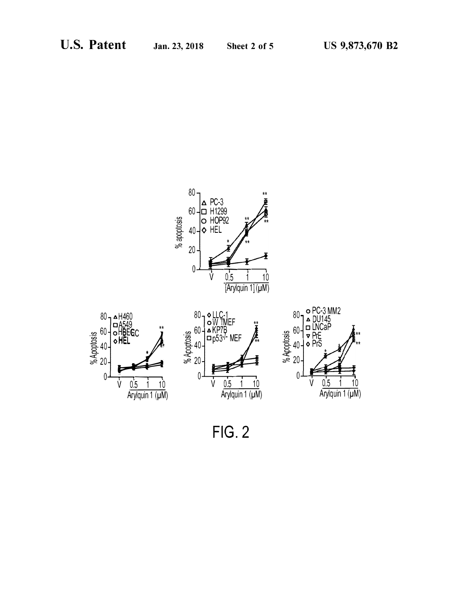

**FIG. 2**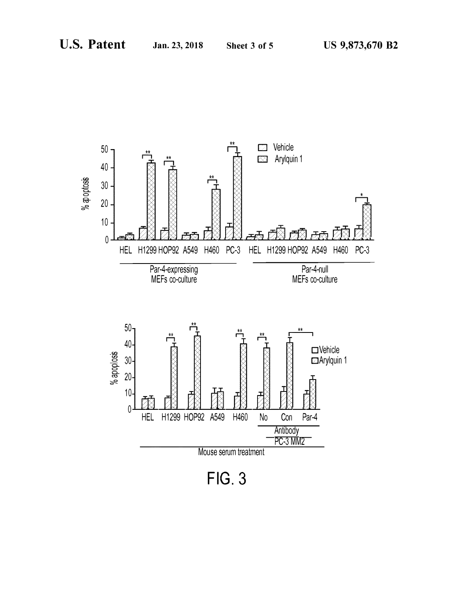

**FIG. 3**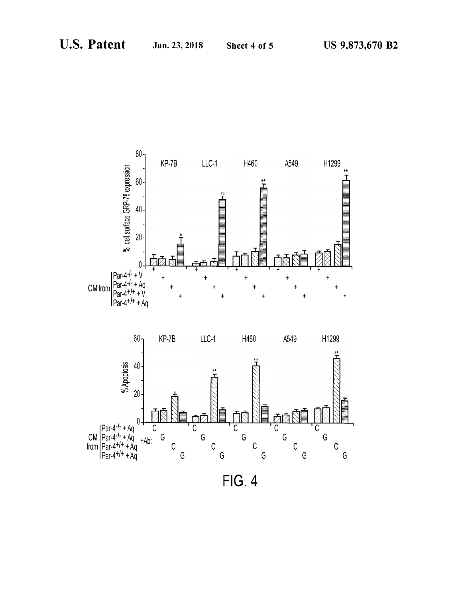

**FIG. 4**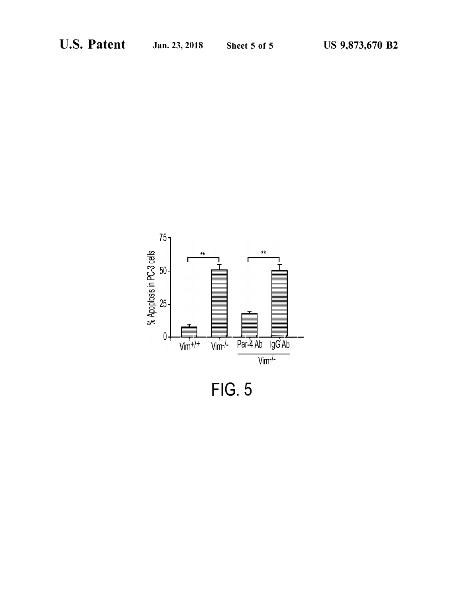

**FIG. 5**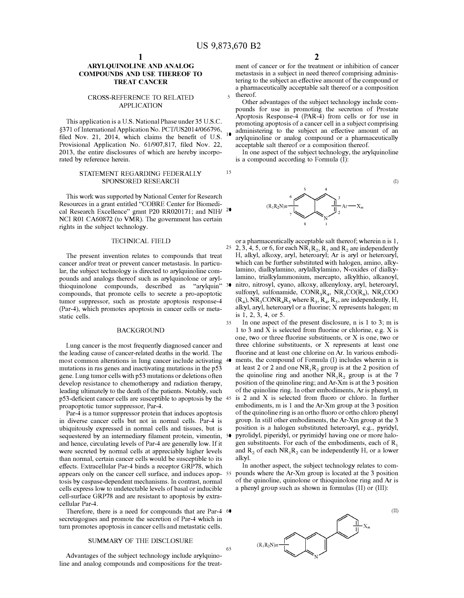15

65

# **ARYLQUINOLINE AND ANALOG COMPOUNDS AND USE THEREOF TO TREAT CANCER**

## CROSS-REFERENCE TO RELATED APPLICATION

This application is a U.S. National Phase under 35 U.S.C. §371 of International Application No. PCT/US2014/066796, filed Nov. 21, 2014, which claims the benefit of U.S. Provisional Application No. 61/907,817, filed Nov. 22, 2013, the entire disclosures of which are hereby incorporated by reference herein.

# STATEMENT REGARDING FEDERALLY SPONSORED RESEARCH

This work was supported by National Center for Research Resources in a grant entitled "COBRE Center for Biomedical Research Excellence" grant P20 RR020171; and NIH/ <sup>20</sup> NCI ROI CA60872 (to VMR). The government has certain rights in the subject technology.

### TECHNICAL FIELD

The present invention relates to compounds that treat cancer and/or treat or prevent cancer metastasis. In particular, the subject technology is directed to arylquinoline compounds and analogs thereof such as arylquinolone or arylthioquinolone compounds, described as "arylquin" compounds, that promote cells to secrete a pro-apoptotic tumor suppressor, such as prostate apoptosis response-4 (Par-4), which promotes apoptosis in cancer cells or metastatic cells.

#### BACKGROUND

Lung cancer is the most frequently diagnosed cancer and the leading cause of cancer-related deaths in the world. The most common alterations in lung cancer include activating mutations in ras genes and inactivating mutations in the p53 gene. Lung tumor cells with p53 mutations or deletions often develop resistance to chemotherapy and radiation therapy, leading ultimately to the death of the patients. Notably, such p53-deficient cancer cells are susceptible to apoptosis by the proapoptotic tumor suppressor, Par-4.

Par-4 is a tumor suppressor protein that induces apoptosis in diverse cancer cells but not in normal cells. Par-4 is ubiquitously expressed in normal cells and tissues, but is sequestered by an intermediary filament protein, vimentin, 50 and hence, circulating levels of Par-4 are generally low. If it were secreted by normal cells at appreciably higher levels than normal, certain cancer cells would be susceptible to its effects. Extracellular Par-4 binds a receptor GRP78, which tosis by caspase-dependent mechanisms. In contrast, normal cells express low to undetectable levels of basal or inducible cell-surface GRP78 and are resistant to apoptosis by extracellular Par-4.

Therefore, there is a need for compounds that are Par-4 60 secretagogues and promote the secretion of Par-4 which in turn promotes apoptosis in cancer cells and metastatic cells.

# SUMMARY OF THE DISCLOSURE

Advantages of the subject technology include arylquinoline and analog compounds and compositions for the treat-

ment of cancer or for the treatment or inhibition of cancer metastasis in a subject in need thereof comprising administering to the subject an effective amount of the compound or a pharmaceutically acceptable salt thereof or a composition  $5$  thereof.

Other advantages of the subject technology include compounds for use in promoting the secretion of Prostate Apoptosis Response-4 (PAR-4) from cells or for use in promoting apoptosis of a cancer cell in a subject comprising  $\frac{1}{10}$  administering to the subject an effective amount of an arylquinoline or analog compound or a pharmaceutically acceptable salt thereof or a composition thereof.

In one aspect of the subject technology, the arylquinoline is a compound according to Formula (I):



or a pharmaceutically acceptable salt thereof; wherein n is 1, 25 2, 3, 4, 5, or 6, for each  $NR_1R_2$ ,  $R_1$  and  $R_2$  are independently H, alkyl, alkoxy, aryl, heteroaryl; Ar is aryl or heteroaryl, which can be further substituted with halogen, amino, alkylamino, dialkylamino, arylalkylamino, N-oxides of dialkylamino, trialkylammonium, mercapto, alkylthio, alkanoyl, nitro, nitrosyl, cyano, alkoxy, alkenyloxy, aryl, heteroaryl, sulfonyl, sulfonamide,  $CONF<sub>3</sub>R<sub>4</sub>$ ,  $NR<sub>3</sub>CO(R<sub>4</sub>)$ ,  $NR<sub>3</sub>COO$  $(R_4)$ , NR<sub>3</sub>CONR<sub>4</sub>R<sub>5</sub> where R<sub>3</sub>, R<sub>4</sub>, R<sub>5</sub>, are independently, H, alkyl, aryl, heteroaryl or a fluorine; X represents halogen; m is 1, 2, 3, 4, or 5.

35 In one aspect of the present disclosure, n is 1 to 3; m is 1 to 3 and X is selected from fluorine or chlorine, e.g. X is one, two or three fluorine substituents, or X is one, two or three chlorine substituents, or X represents at least one fluorine and at least one chlorine on Ar. In various embodiments, the compound of Formula (I) includes wherein n is at least 2 or 2 and one  $NR_1R_2$  group is at the 2 position of the quinoline ring and another  $NR_1R_2$  group is at the 7 position of the quinoline ring; and Ar-Xm is at the 3 position of the quinoline ring. In other embodiments, Ar is phenyl, m is 2 and  $X$  is selected from fluoro or chloro. In further embodiments, m is 1 and the Ar-Xm group at the 3 position of the quinoline ring is an ortho fluoro or ortho chloro phenyl group. In still other embodiments, the Ar-Xm group at the 3 position is a halogen substituted heteroaryl, e.g., pyridyl, pyrolidyl, piperidyl, or pyrimidyl having one or more halogen substituents. For each of the embodiments, each of  $R_1$ and  $R_2$ , of each  $NR_1R_2$  can be independently H, or a lower alkyl.

appears only on the cancer cell surface, and induces apop-55 pounds where the Ar-Xm group is located at the 3 position In another aspect, the subject technology relates to comof the quinoline, quinolone or thioquinolone ring and Ar is a phenyl group such as shown in formulas (II) or (III):



(I)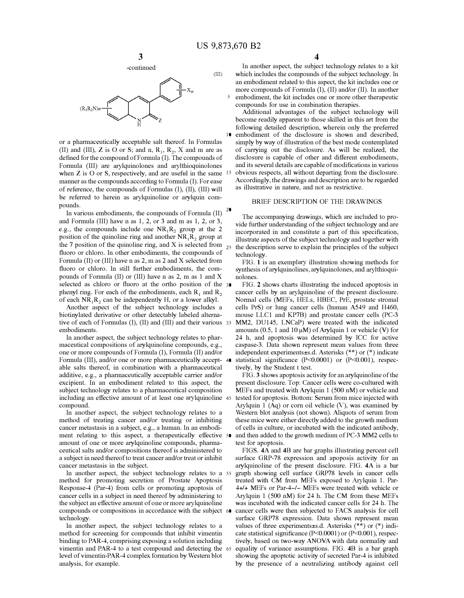

or a pharmaceutically acceptable salt thereof. In Formulas (II) and (III),  $Z$  is  $O$  or  $S$ ; and  $n$ ,  $R_1$ ,  $R_2$ ,  $X$  and  $m$  are as defined for the compound of Formula (I). The compounds of Formula (III) are arylquinolones and arylthioquinolones when Z is O or S, respectively, and are useful in the same manner as the compounds according to Formula (I). For ease of reference, the compounds of Formulas (I), (II), (III) will be referred to herein as arylquinoline or arylquin compounds.

In various embodiments, the compounds of Formula (II)  $2^{\bullet}$ and Formula (III) have n as 1, 2, or 3 and m as 1, 2, or 3, e.g., the compounds include one  $NR_1R_2$  group at the 2 position of the quinoline ring and another  $NR_1R_2$  group at the 7 position of the quinoline ring, and X is selected from  $_{25}$ fluoro or chloro. In other embodiments, the compounds of Formula (II) or (III) have n as 2, m as 2 and X selected from fluoro or chloro. In still further embodiments, the compounds of Formula (II) or (III) have n as 2, m as 1 and X selected as chloro or fluoro at the ortho position of the 30 phenyl ring. For each of the embodiments, each  $R_1$  and  $R_2$ of each  $NR_1R_2$  can be independently H, or a lower alkyl.

Another aspect of the subject technology includes a biotinylated derivative or other detectably labeled alternative of each of Formulas (I), (II) and (III) and their various 35 embodiments.

In another aspect, the subject technology relates to pharmaceutical compositions of arylquinoline compounds, e.g., one or more compounds of Formula (I), Formula (II) and/or Formula (III), and/or one or more pharmaceutically acceptable salts thereof, in combination with a pharmaceutical additive, e.g., a pharmaceutically acceptable carrier and/or excipient. In an embodiment related to this aspect, the subject technology relates to a pharmaceutical composition including an effective amount of at least one arylquinoline compound.

In another aspect, the subject technology relates to a method of treating cancer and/or treating or inhibiting cancer metastasis in a subject, e.g., a human. In an embodiment relating to this aspect, a therapeutically effective amount of one or more arylquinoline compounds, pharmaceutical salts and/or compositions thereof is administered to a subject in need thereof to treat cancer and/or treat or inhibit cancer metastasis in the subject.

In another aspect, the subject technology relates to a 55 method for promoting secretion of Prostate Apoptosis Response-4 (Par-4) from cells or promoting apoptosis of cancer cells in a subject in need thereof by administering to the subject an effective amount of one or more arylquinoline compounds or compositions in accordance with the subject 60 technology.

In another aspect, the subject technology relates to a method for screening for compounds that inhibit vimentin binding to PAR-4, comprising exposing a solution including vimentin and PAR-4 to a test compound and detecting the 65 level of vimentin-PAR-4 complex formation by Western blot analysis, for example.

In another aspect, the subject technology relates to a kit which includes the compounds of the subject technology. In an embodiment related to this aspect, the kit includes one or more compounds of Formula (I), (II) and/or (II). In another 5 embodiment, the kit includes one or more other therapeutic compounds for use in combination therapies.

Additional advantages of the subject technology will become readily apparent to those skilled in this art from the following detailed description, wherein only the preferred 10 embodiment of the disclosure is shown and described, simply by way of illustration of the best mode contemplated of carrying out the disclosure. As will be realized, the disclosure is capable of other and different embodiments, and its several details are capable of modifications in various 15 obvious respects, all without departing from the disclosure. Accordingly, the drawings and description are to be regarded as illustrative in nature, and not as restrictive.

# BRIEF DESCRIPTION OF THE DRAWINGS

The accompanying drawings, which are included to provide further understanding of the subject technology and are incorporated in and constitute a part of this specification, illustrate aspects of the subject technology and together with the description serve to explain the principles of the subject technology.

FIG. 1 is an exemplary illustration showing methods for synthesis of arylquinolines, arylquinolones, and arylthioquinolones.

FIG. **2** shows charts illustrating the induced apoptosis in cancer cells by an arylquinoline of the present disclosure. Normal cells (MEFs, HELs, HBEC, PrE, prostate stromal cells PrS) or lung cancer cells (human A549 and H460, mouse LLCl and KP7B) and prostate cancer cells (PC-3 MM2, DU145, LNCaP) were treated with the indicated amounts (0.5, 1 and 10  $\mu$ M) of Arylquin 1 or vehicle (V) for 24 h, and apoptosis was determined by ICC for active caspase-3. Data shown represent mean values from three independent experiments±s.d. Asterisks (\*\*) or(\*) indicate statistical significance (P<0.0001) or (P<0.001), respectively, by the Student t test.

FIG. 3 shows apoptosis activity for an arylquinoline of the present disclosure. Top: Cancer cells were co-cultured with MEFs and treated with Arylquin 1 (500 nM) or vehicle and tested for apoptosis. Bottom: Serum from mice injected with Arylquin 1 (Aq) or corn oil vehicle  $(V)$ , was examined by Western blot analysis (not shown). Aliquots of serum from these mice were either directly added to the growth medium of cells in culture, or incubated with the indicated antibody, and then added to the growth medium of PC-3 MM2 cells to test for apoptosis.

FIGS. **4A and 48** are bar graphs illustrating percent cell surface GRP-78 expression and apoposis activity for an arylquinoline of the present disclosure. FIG. **4A** is a bar graph showing cell surface GRP78 levels in cancer cells treated with CM from MEFs exposed to Arylquin 1. Par-4+/+ MEFs or Par-4-/- MEFs were treated with vehicle or Arylquin 1 (500 nM) for 24 h. The CM from these MEFs was incubated with the indicated cancer cells for 24 h. The cancer cells were then subjected to FACS analysis for cell surface GRP78 expression. Data shown represent mean values of three experiments $\pm$ s.d. Asterisks (\*\*) or (\*) indicate statistical significance (P<0.0001) or (P<0.001), respectively, based on two-way ANOVA with data normality and equality of variance assumptions. FIG. **48** is a bar graph showing the apoptotic activity of secreted Par-4 is inhibited by the presence of a neutralizing antibody against cell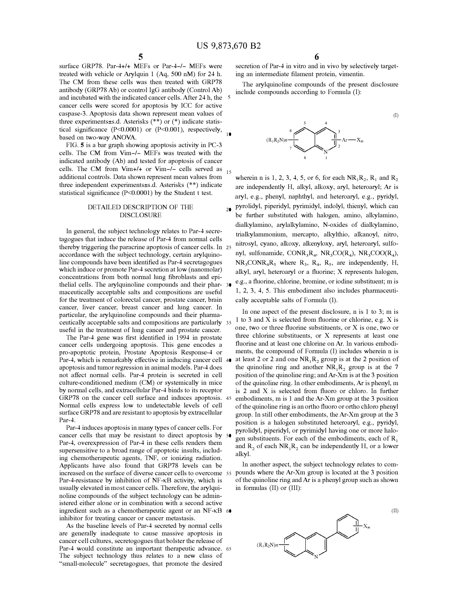surface GRP78. Par-4+/+ MEFs or Par-4-/- MEFs were treated with vehicle or Arylquin 1 (Aq, 500 nM) for 24 h. The CM from these cells was then treated with GRP78 antibody (GRP78 Ab) or control IgG antibody (Control Ab) and incubated with the indicated cancer cells. After 24 h, the cancer cells were scored for apoptosis by ICC for active caspase-3. Apoptosis data shown represent mean values of three experiments±s.d. Asterisks (\*\*) or (\*) indicate statistical significance (P<0.0001) or (P<0.001), respectively, based on two-way ANOVA.

FIG. 5 is a bar graph showing apoptosis activity in PC-3 cells. The CM from Vim-/- MEFs was treated with the indicated antibody (Ab) and tested for apoptosis of cancer cells. The CM from Vim+/+ or Vim-/- cells served as  $_{15}$ additional controls. Data shown represent mean values from three independent experiments±s.d. Asterisks (\*\*) indicate statistical significance (P<0.0001) by the Student t test.

# DETAILED DESCRIPTION OF THE DISCLOSURE

tagogues that induce the release of Par-4 from normal cells thereby triggering the paracrine apoptosis of cancer cells. In 25 accordance with the subject technology, certain arylquinoline compounds have been identified as Par-4 secretagogues which induce or promote Par-4 secretion at low (nanomolar) concentrations from both normal lung fibroblasts and epithelial cells. The arylquinoline compounds and their phar- 30 maceutically acceptable salts and compositions are useful for the treatment of colorectal cancer, prostate cancer, brain cancer, liver cancer, breast cancer and lung cancer. In particular, the arylquinoline compounds and their pharmaceutically acceptable salts and compositions are particularly 35 useful in the treatment of lung cancer and prostate cancer.

The Par-4 gene was first identified in 1994 in prostate cancer cells undergoing apoptosis. This gene encodes a pro-apoptotic protein, Prostate Apoptosis Response-4 or Par-4, which is remarkably effective in inducing cancer cell 40 apoptosis and tumor regression in animal models. Par-4 does not affect normal cells. Par-4 protein is secreted in cell culture-conditioned medium (CM) or systemically in mice by normal cells, and extracellular Par-4 binds to its receptor GRP78 on the cancer cell surface and induces apoptosis. 45 Normal cells express low to undetectable levels of cell surface GRP78 and are resistant to apoptosis by extracellular Par-4.

Par-4 induces apoptosis in many types of cancer cells. For cancer cells that may be resistant to direct apoptosis by Par-4, overexpression of Par-4 in these cells renders them supersensitive to a broad range of apoptotic insults, including chemotherapeutic agents, TNF, or ionizing radiation. Applicants have also found that GRP78 levels can be increased on the surface of diverse cancer cells to overcome 55 Par-4-resistance by inhibition of NF-KB activity, which is usually elevated in most cancer cells. Therefore, the arylquinoline compounds of the subject technology can be administered either alone or in combination with a second active ingredient such as a chemotherapeutic agent or an NF-KB 60 inhibitor for treating cancer or cancer metastasis.

As the baseline levels of Par-4 secreted by normal cells are generally inadequate to cause massive apoptosis in cancer cell cultures, secretogogues that bolster the release of Par-4 would constitute an important therapeutic advance. 65 The subject technology thus relates to a new class of "small-molecule" secretagogues, that promote the desired

6

secretion of Par-4 in vitro and in vivo by selectively targeting an intermediate filament protein, vimentin.

The arylquinoline compounds of the present disclosure include compounds according to Formula (I):

(I)



wherein n is 1, 2, 3, 4, 5, or 6, for each  $NR_1R_2$ ,  $R_1$  and  $R_2$ are independently H, alkyl, alkoxy, aryl, heteroaryl; Ar is aryl, e.g., phenyl, naphthyl, and heteroaryl, e.g., pyridyl, 20 pyrolidyl, piperidyl, pyrimidyl, indolyl, thienyl, which can be further substituted with halogen, amino, alkylamino, dialkylamino, arylalkylamino, N-oxides of dialkylamino, In general, the subject technology relates to Par-4 secre-<br>trialkylammonium, mercapto, alkylthio, alkanoyl, nitro, nitrosyl, cyano, alkoxy, alkenyloxy, aryl, heteroaryl, sulfonyl, sulfonamide,  $CONF<sub>3</sub>R<sub>4</sub>$ ,  $NR<sub>3</sub>CO(R<sub>4</sub>)$ ,  $NR<sub>3</sub>COO(R<sub>4</sub>)$ ,  $NR_3CONF_4R_5$  where  $R_3$ ,  $R_4$ ,  $R_5$ , are independently, H, alkyl, aryl, heteroaryl or a fluorine; X represents halogen, e.g., a fluorine, chlorine, bromine, or iodine substituent; m is 1, 2, 3, 4, 5. This embodiment also includes pharmaceutically acceptable salts of Formula (I).

> In one aspect of the present disclosure, n is 1 to 3; m is 1 to 3 and X is selected from fluorine or chlorine, e.g. X is one, two or three fluorine substituents, or X is one, two or three chlorine substituents, or X represents at least one fluorine and at least one chlorine on Ar. In various embodiments, the compound of Formula (I) includes wherein n is at least 2 or 2 and one  $NR_1R_2$  group is at the 2 position of the quinoline ring and another  $NR_1R_2$  group is at the 7 position of the quinoline ring; and Ar-Xm is at the 3 position of the quinoline ring. In other embodiments, Ar is phenyl, m is 2 and X is selected from fluoro or chloro. In further embodiments, m is 1 and the Ar-Xm group at the 3 position of the quinoline ring is an ortho fluoro or ortho chloro phenyl group. In still other embodiments, the Ar-Xm group at the 3 position is a halogen substituted heteroaryl, e.g., pyridyl, pyrolidyl, piperidyl, or pyrimidyl having one or more halogen substituents. For each of the embodiments, each of  $R_1$ and  $R_2$  of each  $NR_1R_2$  can be independently H, or a lower alkyl.

> In another aspect, the subject technology relates to compounds where the Ar-Xm group is located at the 3 position of the quinoline ring and Ar is a phenyl group such as shown in formulas (II) or (III):

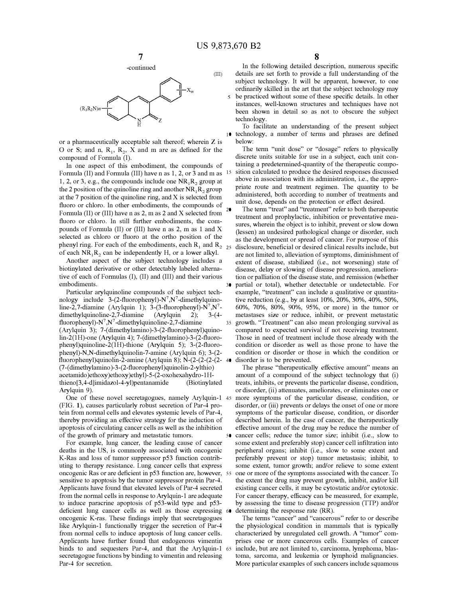5



or a pharmaceutically acceptable salt thereof; wherein Z is O or S; and n,  $R_1$ ,  $R_2$ , X and m are as defined for the compound of Formula (I).

In one aspect of this embodiment, the compounds of Formula (II) and Formula (III) have n as 1, 2, or 3 and m as 1, 2, or 3, e.g., the compounds include one  $NR_1R_2$  group at the 2 position of the quinoline ring and another  $NR_1R_2$  group at the 7 position of the quinoline ring, and X is selected from a summissered, bout according to number of treatments fluoro or chloro. In other embodiments, the compounds of Formula (II) or (III) have n as 2, m as 2 and X selected from  $\frac{20}{100}$  The term "treat" and "treatment" refer to both therapeutic fluoro or chloro. In still further embodiments, the compounds of Formula (II) or (III) have n as 2, m as 1 and X selected as chloro or fluoro at the ortho position of the phenyl ring. For each of the embodiments, each  $R_1$  and  $R_2$  <sub>25</sub> of each  $NR_1R_2$ , can be independently H, or a lower alkyl.

Another aspect of the subject technology includes a biotinylated derivative or other detectably labeled alternative of each of Formulas (I), (II) and (III) and their various embodiments.

Particular arylquinoline compounds of the subject technology include  $3-(2-fluorophenyl)-N^7$ , N<sup>7</sup>-dimethylquinoline-2,7-diamine (Arylquin 1); 3-(3-fluorophenyl)- $N^7$ , $N^7$ dimethylquinoline-2,7-diamine  $(Arylquin 2);$ fluorophenyl)- $N^7$ , $N^7$ -dimethy lquinoline-2,7-diamine ( Ary lquin 3); 7 -( dimethylamino )-3-(2-fluoropheny l)quinolin-2(1H)-one (Arylquin 4); 7-(dimethylamino)-3-(2-fluorophenyl)quinoline-2(1H)-thione (Arylquin 5); 3-(2-fluorophenyl)-N,N-dimethylquinolin-7-amine (Arylquin 6); 3-(2 fluorophenyl)quinolin-2-amine (Arylquin 8); N-(2-(2-(2-(2- (7-( dimethylamino )-3-(2-fluorophenyl)quinolin-2-ylthio) acetamido )ethoxy )ethoxy)ethyl)-5-(2-oxohexahydro-l Hthieno[3,4-d]imidazol-4-yl)pentanamide (Biotinylated Arylquin 9).

One of these novel secretagogues, namely Arylquin-1 (FIG. 1), causes particularly robust secretion of Par-4 protein from normal cells and elevates systemic levels of Par-4, thereby providing an effective strategy for the induction of apoptosis of circulating cancer cells as well as the inhibition of the growth of primary and metastatic tumors.

For example, lung cancer, the leading cause of cancer deaths in the US, is commonly associated with oncogenic K-Ras and loss of tumor suppressor p53 function contributing to therapy resistance. Lung cancer cells that express oncogenic Ras or are deficient in p53 function are, however, sensitive to apoptosis by the tumor suppressor protein Par-4. Applicants have found that elevated levels of Par-4 secreted from the normal cells in response to Arylquin-1 are adequate to induce paracrine apoptosis of p53-wild type and p53 deficient lung cancer cells as well as those expressing 6 oncogenic K-ras. These findings imply that secretagogues like Arylquin-1 functionally trigger the secretion of Par-4 from normal cells to induce apoptosis of lung cancer cells. Applicants have further found that endogenous vimentin binds to and sequesters Par-4, and that the Arylquin-1 secretagogue functions by binding to vimentin and releasing Par-4 for secretion.

In the following detailed description, numerous specific details are set forth to provide a full understanding of the subject technology. It will be apparent, however, to one ordinarily skilled in the art that the subject technology may be practiced without some of these specific details. In other instances, well-known structures and techniques have not been shown in detail so as not to obscure the subject technology.

To facilitate an understanding of the present subject 10 technology, a number of terms and phrases are defined below:

The term "unit dose" or "dosage" refers to physically discrete units suitable for use in a subject, each unit containing a predetermined-quantity of the therapeutic composition calculated to produce the desired responses discussed above in association with its administration, i.e., the appropriate route and treatment regimen. The quantity to be administered, both according to number of treatments and

treatment and prophylactic, inhibition or preventative measures, wherein the object is to inhibit, prevent or slow down (lessen) an undesired pathological change or disorder, such as the development or spread of cancer. For purpose of this disclosure, beneficial or desired clinical results include, but are not limited to, alleviation of symptoms, diminishment of extent of disease, stabilized (i.e., not worsening) state of disease, delay or slowing of disease progression, amelioration or palliation of the disease state, and remission (whether partial or total), whether detectable or undetectable. For example, "treatment" can include a qualitative or quantitative reduction (e.g., by at least 10%, 20%, 30%, 40%, 50%, 60%, 70%, 80%, 90%, 95%, or more) in the tumor or metastases size or reduce, inhibit, or prevent metastatic 35 growth. "Treatment" can also mean prolonging survival as compared to expected survival if not receiving treatment. Those in need of treatment include those already with the condition or disorder as well as those prone to have the condition or disorder or those in which the condition or disorder is to be prevented.

The phrase "therapeutically effective amount" means an amount of a compound of the subject technology that (i) treats, inhibits, or prevents the particular disease, condition, or disorder, (ii) attenuates, ameliorates, or eliminates one or more symptoms of the particular disease, condition, or disorder, or (iii) prevents or delays the onset of one or more symptoms of the particular disease, condition, or disorder described herein. In the case of cancer, the therapeutically effective amount of the drug may be reduce the number of cancer cells; reduce the tumor size; inhibit (i.e., slow to some extent and preferably stop) cancer cell infiltration into peripheral organs; inhibit (i.e., slow to some extent and preferably prevent or stop) tumor metastasis; inhibit, to some extent, tumor growth; and/or relieve to some extent 55 one or more of the symptoms associated with the cancer. To the extent the drug may prevent growth, inhibit, and/or kill existing cancer cells, it may be cytostatic and/or cytotoxic. For cancer therapy, efficacy can be measured, for example, by assessing the time to disease progression (TTP) and/or determining the response rate (RR).

The terms "cancer" and "cancerous" refer to or describe the physiological condition in mammals that is typically characterized by unregulated cell growth. A "tumor" comprises one or more cancerous cells. Examples of cancer 65 include, but are not limited to, carcinoma, lymphoma, blastoma, sarcoma, and leukemia or lymphoid malignancies. More particular examples of such cancers include squamous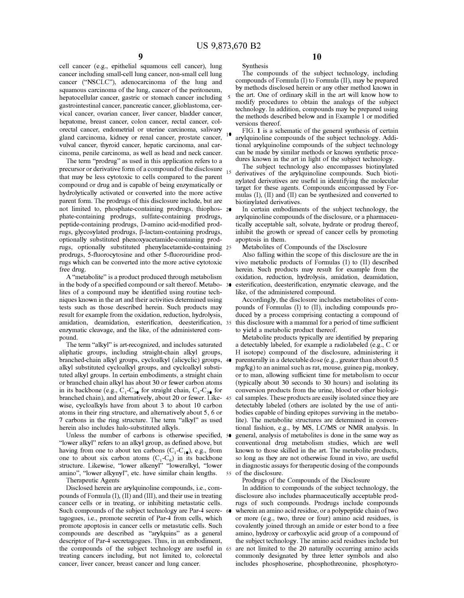**Synthesis** 

cell cancer (e.g., epithelial squamous cell cancer), lung cancer including small-cell lung cancer, non-small cell lung cancer ("NSCLC"), adenocarcinoma of the lung and squamous carcinoma of the lung, cancer of the peritoneum, hepatocellular cancer, gastric or stomach cancer including gastrointestinal cancer, pancreatic cancer, glioblastoma, cervical cancer, ovarian cancer, liver cancer, bladder cancer, hepatome, breast cancer, colon cancer, rectal cancer, colorectal cancer, endometrial or uterine carcinoma, salivary gland carcinoma, kidney or renal cancer, prostate cancer, vulval cancer, thyroid cancer, hepatic carcinoma, anal carcinoma, penile carcinoma, as well as head and neck cancer.

The term "prodrug" as used in this application refers to a precursor or derivative form of a compound of the disclosure that may be less cytotoxic to cells compared to the parent compound or drug and is capable of being enzymatically or hydrolytically activated or converted into the more active parent form. The prodrugs of this disclosure include, but are not limited to, phosphate-containing prodrugs, thiophos- 20 phate-containing prodrugs, sulfate-containing prodrugs, peptide-containing prodrugs, D-amino acid-modified prodrugs, glycosylated prodrugs, �-lactam-containing prodrugs, optionally substituted phenoxyacetamide-containing prodrugs, optionally substituted phenylacetamide-containing 25 prodrugs, 5-fluorocytosine and other 5-fluorouridine prodrugs which can be converted into the more active cytotoxic free drug.

in the body of a specified compound or salt thereof. Metabolites of a compound may be identified using routine techniques known in the art and their activities determined using tests such as those described herein. Such products may result for example from the oxidation, reduction, hydrolysis, amidation, deamidation, esterification, deesterification, enzymatic cleavage, and the like, of the administered compound.

The term "alkyl" is art-recognized, and includes saturated aliphatic groups, including straight-chain alkyl groups, branched-chain alkyl groups, cycloalkyl (alicyclic) groups, alkyl substituted cycloalkyl groups, and cycloalkyl substituted alkyl groups. In certain embodiments, a straight chain or branched chain alkyl has about 30 or fewer carbon atoms in its backbone (e.g.,  $C_1$ - $C_3$ , for straight chain,  $C_3$ - $C_3$ , for branched chain), and alternatively, about 20 or fewer. Likewise, cycloalkyls have from about 3 to about 10 carbon atoms in their ring structure, and alternatively about 5, 6 or 7 carbons in the ring structure. The term "alkyl" as used herein also includes halo-substituted alkyls.

Unless the number of carbons is otherwise specified, 50 "lower alkyl" refers to an alkyl group, as defined above, but having from one to about ten carbons ( $C_1$ - $C_1$ <sub>0</sub>), e.g., from one to about six carbon atoms  $(C_1 - C_6)$  in its backbone structure. Likewise, "lower alkenyl" "loweralkyl, "lower amino", "lower alkynyl", etc. have similar chain lengths. Therapeutic Agents

Disclosed herein are arylquinoline compounds, i.e., com-

pounds of Formula (I), (II) and (III), and their use in treating cancer cells or in treating, or inhibiting metastatic cells. Such compounds of the subject technology are Par-4 secre- 60 tagogues, i.e., promote secretin of Par-4 from cells, which promote apoptosis in cancer cells or metastatic cells. Such compounds are described as "arylquins" as a general descriptor of Par-4 secretagogues. Thus, in an embodiment, the compounds of the subject technology are useful in treating cancers including, but not limited to, colorectal cancer, liver cancer, breast cancer and lung cancer.

**10** 

The compounds of the subject technology, including compounds of Formula (I) to Formula (II), may be prepared by methods disclosed herein or any other method known in the art. One of ordinary skill in the art will know how to modify procedures to obtain the analogs of the subject technology. In addition, compounds may be prepared using the methods described below and in Example 1 or modified versions thereof.

FIG. 1 is a schematic of the general synthesis of certain arylquinoline compounds of the subject technology. Additional arylquinoline compounds of the subject technology can be made by similar methods or known synthetic procedures known in the art in light of the subject technology.

The subject technology also encompasses biotinylated derivatives of the arylquinoline compounds. Such biotinylated derivatives are useful in identifying the molecular target for these agents. Compounds encompassed by Formulas (I), (II) and (II) can be synthesized and converted to biotinylated derivatives.

In certain embodiments of the subject technology, the arylquinoline compounds of the disclosure, or a pharmaceutically acceptable salt, solvate, hydrate or prodrug thereof, inhibit the growth or spread of cancer cells by promoting apoptosis in them.

Metabolites of Compounds of the Disclosure

Also falling within the scope of this disclosure are the in vivo metabolic products of Formulas (I) to (II) described herein. Such products may result for example from the A "metabolite" is a product produced through metabolism oxidation, reduction, hydrolysis, amidation, deamidation, esterification, deesterification, enzymatic cleavage, and the like, of the administered compound.

> Accordingly, the disclosure includes metabolites of compounds of Formulas (I) to (II), including compounds produced by a process comprising contacting a compound of this disclosure with a mammal for a period of time sufficient to yield a metabolic product thereof.

Metabolite products typically are identified by preparing a detectably labeled, for example a radiolabeled (e.g., C or H isotope) compound of the disclosure, administering it parenterally in a detectable dose (e.g., greater than about 0.5 mg/kg) to an animal such as rat, mouse, guinea pig, monkey, or to man, allowing sufficient time for metabolism to occur (typically about 30 seconds to 30 hours) and isolating its conversion products from the urine, blood or other biological samples. These products are easily isolated since they are detectably labeled (others are isolated by the use of antibodies capable of binding epitopes surviving in the metabolite). The metabolite structures are determined in conventional fashion, e.g., by MS, LC/MS or NMR analysis. In general, analysis of metabolites is done in the same way as conventional drug metabolism studies, which are well known to those skilled in the art. The metabolite products, so long as they are not otherwise found in vivo, are useful in diagnostic assays for therapeutic dosing of the compounds 55 of the disclosure.

Prodrugs of the Compounds of the Disclosure

In addition to compounds of the subject technology, the disclosure also includes pharmaceutically acceptable prodrugs of such compounds. Prodrugs include compounds wherein an amino acid residue, or a polypeptide chain of two or more (e.g., two, three or four) amino acid residues, is covalently joined through an amide or ester bond to a free amino, hydroxy or carboxylic acid group of a compound of the subject technology. The amino acid residues include but are not limited to the 20 naturally occurring amino acids commonly designated by three letter symbols and also includes phosphoserine, phosphothreonine, phosphotyro-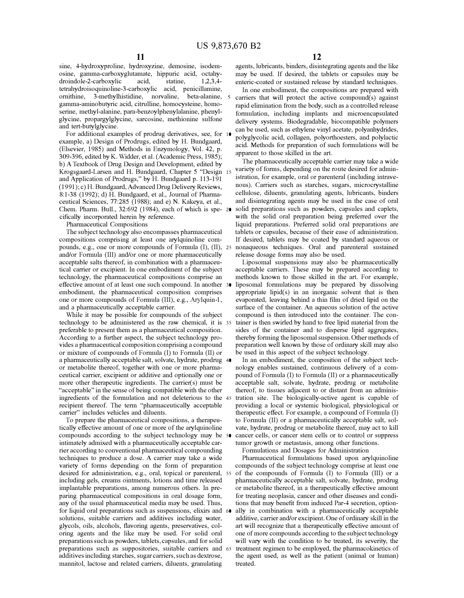sine, 4-hydroxyproline, hydroxyzine, demosine, isodemosine, gamma-carboxyglutamate, hippuric acid, octahydroindole-2-carboxylic acid, statine, 1,2,3,4 tetrahydroisoquinoline-3-carboxylic acid, penicillamine, omithine, 3-methylhistidine, norvaline, beta-alanine, gamma-aminobutyric acid, citrulline, homocysteine, homoserine, methyl-alanine, para-benzoylphenylalanine, phenylglycine, propargylglycine, sarcosine, methionine sulfone and tert-butylglycine.

For additional examples of prodrug derivatives, see, for example, a) Design of Prodrugs, edited by H. Bundgaard, (Elsevier, 1985) and Methods in Enzymology, Vol. 42, p. 309-396, edited by K. Widder, et al. (Academic Press, 1985); b) A Textbook of Drug Design and Development, edited by Krogsgaard-Larsen and H. Bundgaard, Chapter 5 "Design and Application of Prodrugs," by H. Bundgaard p. 113-191 (1991); c) H. Bundgaard, Advanced Drug Delivery Reviews, 8:1-38 (1992); d) H. Bundgaard, et al., Journal of Pharmaceutical Sciences, 77:285 (1988); and e) N. Kakeya, et al., Chem. Pharm. Bull., 32:692 (1984), each of which is spe- 20 cifically incorporated herein by reference.

Pharmaceutical Compositions

The subject technology also encompasses pharmaceutical compositions comprising at least one arylquinoline compounds, e.g., one or more compounds of Formula (I), (II), and/or Formula (III) and/or one or more pharmaceutically acceptable salts thereof, in combination with a pharmaceutical carrier or excipient. In one embodiment of the subject technology, the pharmaceutical compositions comprise an effective amount of at least one such compound. In another embodiment, the pharmaceutical composition comprises one or more compounds of Formula (III), e.g., Arylquin-1, and a pharmaceutically acceptable carrier.

While it may be possible for compounds of the subject technology to be administered as the raw chemical, it is preferable to present them as a pharmaceutical composition. According to a further aspect, the subject technology provides a pharmaceutical composition comprising a compound or mixture of compounds of Formula (I) to Formula (II) or a pharmaceutically acceptable salt, solvate, hydrate, prodrug 40 or metabolite thereof, together with one or more pharmaceutical carrier, excipient or additive and optionally one or more other therapeutic ingredients. The carrier(s) must be "acceptable" in the sense of being compatible with the other ingredients of the formulation and not deleterious to the recipient thereof. The term "pharmaceutically acceptable carrier" includes vehicles and diluents.

To prepare the pharmaceutical compositions, a therapeutically effective amount of one or more of the arylquinoline compounds according to the subject technology may be intimately admixed with a pharmaceutically acceptable carrier according to conventional pharmaceutical compounding techniques to produce a dose. A carrier may take a wide variety of forms depending on the form of preparation desired for administration, e.g., oral, topical or parenteral, 55 including gels, creams ointments, lotions and time released implantable preparations, among numerous others. In preparing pharmaceutical compositions in oral dosage form, any of the usual pharmaceutical media may be used. Thus, for liquid oral preparations such as suspensions, elixirs and 60 solutions, suitable carriers and additives including water, glycols, oils, alcohols, flavoring agents, preservatives, coloring agents and the like may be used. For solid oral preparations such as powders, tablets, capsules, and for solid preparations such as suppositories, suitable carriers and 65 additives including starches, sugar carriers, such as dextrose, mannitol, lactose and related carriers, diluents, granulating

agents, lubricants, binders, disintegrating agents and the like may be used. If desired, the tablets or capsules may be enteric-coated or sustained release by standard techniques.

In one embodiment, the compositions are prepared with carriers that will protect the active compound(s) against rapid elimination from the body, such as a controlled release formulation, including implants and microencapsulated delivery systems. Biodegradable, biocompatible polymers can be used, such as ethylene vinyl acetate, polyanhydrides, <sup>10</sup>polyglycolic acid, collagen, polyorthoesters, and polylactic acid. Methods for preparation of such formulations will be apparent to those skilled in the art.

The pharmaceutically acceptable carrier may take a wide variety of forms, depending on the route desired for administration, for example, oral or parenteral (including intravenous). Carriers such as starches, sugars, microcrystalline cellulose, diluents, granulating agents, lubricants, binders and disintegrating agents may be used in the case of oral solid preparations such as powders, capsules and caplets, with the solid oral preparation being preferred over the liquid preparations. Preferred solid oral preparations are tablets or capsules, because of their ease of administration. If desired, tablets may be coated by standard aqueous or 25 nonaqueous techniques. Oral and parenteral sustained release dosage forms may also be used.

Liposomal suspensions may also be pharmaceutically acceptable carriers. These may be prepared according to methods known to those skilled in the art. For example, liposomal formulations may be prepared by dissolving appropriate lipid(s) in an inorganic solvent that is then evaporated, leaving behind a thin film of dried lipid on the surface of the container. An aqueous solution of the active compound is then introduced into the container. The container is then swirled by hand to free lipid material from the sides of the container and to disperse lipid aggregates, thereby forming the liposomal suspension. Other methods of preparation well known by those of ordinary skill may also be used in this aspect of the subject technology.

In an embodiment, the composition of the subject technology enables sustained, continuous delivery of a compound of Formula (I) to Formula (II) or a pharmaceutically acceptable salt, solvate, hydrate, prodrug or metabolite thereof, to tissues adjacent to or distant from an administration site. The biologically-active agent is capable of providing a local or systemic biological, physiological or therapeutic effect. For example, a compound of Formula (I) to Formula (II) or a pharmaceutically acceptable salt, solvate, hydrate, prodrug or metabolite thereof, may act to kill cancer cells, or cancer stem cells or to control or suppress tumor growth or metastasis, among other functions.

Formulations and Dosages for Administration

Pharmaceutical formulations based upon arylquinoline compounds of the subject technology comprise at least one of the compounds of Formula (I) to Formula (III) or a pharmaceutically acceptable salt, solvate, hydrate, prodrug or metabolite thereof, in a therapeutically effective amount for treating neoplasia, cancer and other diseases and conditions that may benefit from induced Par-4 secretion, optionally in combination with a pharmaceutically acceptable additive, carrier and/or excipient. One of ordinary skill in the art will recognize that a therapeutically effective amount of one of more compounds according to the subject technology will vary with the condition to be treated, its severity, the treatment regimen to be employed, the pharmacokinetics of the agent used, as well as the patient (animal or human) treated.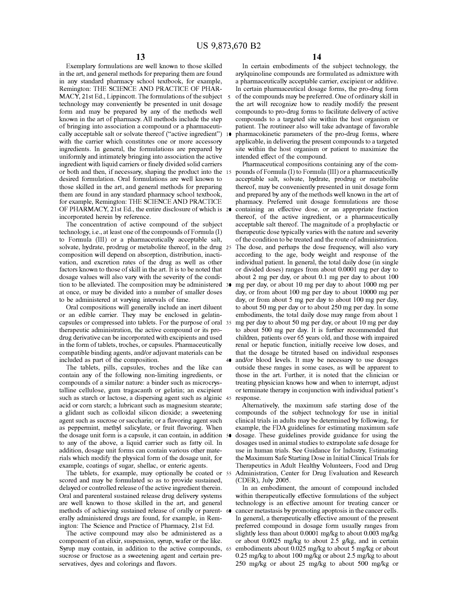Exemplary formulations are well known to those skilled in the art, and general methods for preparing them are found in any standard pharmacy school textbook, for example, Remington: THE SCIENCE AND PRACTICE OF PHAR-MACY, 21st Ed., Lippincott. The formulations of the subject 5 technology may conveniently be presented in unit dosage form and may be prepared by any of the methods well known in the art of pharmacy. All methods include the step of bringing into association a compound or a pharmaceuti-<br>
patient. The routineer also will take advantage of favorable cally acceptable salt or solvate thereof ("active ingredient") 10 with the carrier which constitutes one or more accessory ingredients. In general, the formulations are prepared by uniformly and intimately bringing into association the active ingredient with liquid carriers or finely divided solid carriers or both and then, if necessary, shaping the product into the desired formulation. Oral formulations are well known to those skilled in the art, and general methods for preparing them are found in any standard pharmacy school textbook, for example, Remington: THE SCIENCE AND PRACTICE OF PHARMACY, 21st Ed., the entire disclosure of which is incorporated herein by reference.

The concentration of active compound of the subject technology, i.e., at least one of the compounds of Formula (I) to Formula (III) or a pharmaceutically acceptable salt, of the condition to be treated and the route of administration. solvate, hydrate, prodrug or metabolite thereof, in the drug 25 composition will depend on absorption, distribution, inactivation, and excretion rates of the drug as well as other factors known to those of skill in the art. It is to be noted that dosage values will also vary with the severity of the condition to be alleviated. The composition may be administered 30 at once, or may be divided into a number of smaller doses to be administered at varying intervals of time.

Oral compositions will generally include an inert diluent or an edible carrier. They may be enclosed in gelatincapsules or compressed into tablets. For the purpose of oral therapeutic administration, the active compound or its prodrug derivative can be incorporated with excipients and used in the form of tablets, troches, or capsules. Pharmaceutically compatible binding agents, and/or adjuvant materials can be included as part of the composition.

The tablets, pills, capsules, troches and the like can contain any of the following non-limiting ingredients, or compounds of a similar nature: a binder such as microcrystalline cellulose, gum tragacanth or gelatin; an excipient such as starch or lactose, a dispersing agent such as alginic 45 response. acid or corn starch; a lubricant such as magnesium stearate; a glidant such as colloidal silicon dioxide; a sweetening agent such as sucrose or saccharin; or a flavoring agent such as peppermint, methyl salicylate, or fruit flavoring. When the dosage unit form is a capsule, it can contain, in addition 50 to any of the above, a liquid carrier such as fatty oil. In addition, dosage unit forms can contain various other materials which modify the physical form of the dosage unit, for example, coatings of sugar, shellac, or enteric agents.

The tablets, for example, may optionally be coated or 55 scored and may be formulated so as to provide sustained, delayed or controlled release of the active ingredient therein. Oral and parenteral sustained release drug delivery systems are well known to those skilled in the art, and general methods of achieving sustained release of orally or parent- 60 erally administered drugs are found, for example, in Remington: The Science and Practice of Pharmacy, 21st Ed.

The active compound may also be administered as a component of an elixir, suspension, syrup, wafer or the like. Syrup may contain, in addition to the active compounds, 65 sucrose or fructose as a sweetening agent and certain preservatives, dyes and colorings and flavors.

In certain embodiments of the subject technology, the arylquinoline compounds are formulated as admixture with a pharmaceutically acceptable carrier, excipient or additive. In certain pharmaceutical dosage forms, the pro-drug form of the compounds may be preferred. One of ordinary skill in the art will recognize how to readily modify the present compounds to pro-drug forms to facilitate delivery of active compounds to a targeted site within the host organism or pharmacokinetic parameters of the pro-drug forms, where applicable, in delivering the present compounds to a targeted site within the host organism or patient to maximize the intended effect of the compound.

Pharmaceutical compositions containing any of the compounds of Formula (I) to Formula (III) or a pharmaceutically acceptable salt, solvate, hydrate, prodrug or metabolite thereof, may be conveniently presented in unit dosage form and prepared by any of the methods well known in the art of pharmacy. Preferred unit dosage formulations are those 20 containing an effective dose, or an appropriate fraction thereof, of the active ingredient, or a pharmaceutically acceptable salt thereof. The magnitude of a prophylactic or therapeutic dose typically varies with the nature and severity The dose, and perhaps the dose frequency, will also vary according to the age, body weight and response of the individual patient. In general, the total daily dose (in single or divided doses) ranges from about 0.0001 mg per day to about 2 mg per day, or about 0.1 mg per day to about 100 mg per day, or about 10 mg per day to about 1000 mg per day, or from about 100 mg per day to about 10000 mg per day, or from about 5 mg per day to about 100 mg per day, to about 50 mg per day or to about 250 mg per day. In some embodiments, the total daily dose may range from about 1 mg per day to about 50 mg per day, or about 10 mg per day to about 500 mg per day. It is further recommended that children, patients over 65 years old, and those with impaired renal or hepatic function, initially receive low doses, and that the dosage be titrated based on individual responses and/or blood levels. It may be necessary to use dosages outside these ranges in some cases, as will be apparent to those in the art. Further, it is noted that the clinician or treating physician knows how and when to interrupt, adjust or terminate therapy in conjunction with individual patient's

Alternatively, the maximum safe starting dose of the compounds of the subject technology for use in initial clinical trials in adults may be determined by following, for example, the FDA guidelines for estimating maximum safe dosage. These guidelines provide guidance for using the dosages used in animal studies to extrapolate safe dosage for use in human trials. See Guidance for Industry, Estimating the Maximum Safe Starting Dose in Initial Clinical Trials for Therapeutics in Adult Healthy Volunteers, Food and Drug Administration, Center for Drug Evaluation and Research (CDER), July 2005.

In an embodiment, the amount of compound included within therapeutically effective formulations of the subject technology is an effective amount for treating cancer or cancer metastasis by promoting apoptosis in the cancer cells. In general, a therapeutically effective amount of the present preferred compound in dosage form usually ranges from slightly less than about 0.0001 mg/kg to about 0.003 mg/kg or about 0.0025 mg/kg to about 2.5 g/kg, and in certain embodiments about 0.025 mg/kg to about 5 mg/kg or about 0.25 mg/kg to about 100 mg/kg or about 2.5 mg/kg to about 250 mg/kg or about 25 mg/kg to about 500 mg/kg or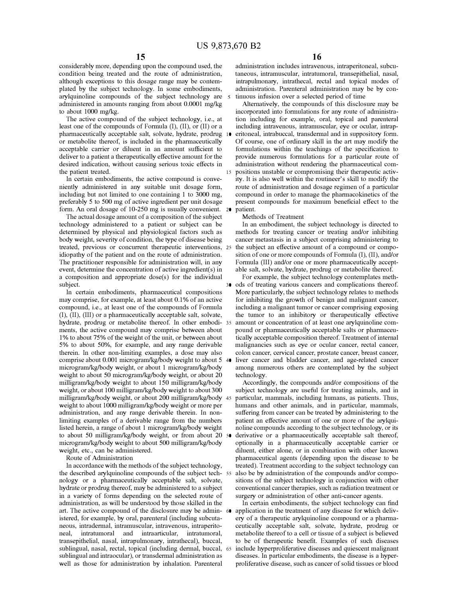considerably more, depending upon the compound used, the condition being treated and the route of administration, although exceptions to this dosage range may be contemplated by the subject technology. In some embodiments, arylquinoline compounds of the subject technology are 5 administered in amounts ranging from about 0.0001 mg/kg to about 1000 mg/kg.

The active compound of the subject technology, i.e., at least one of the compounds of Formula (I), (II), or (II) or a pharmaceutically acceptable salt, solvate, hydrate, prodrug 10 or metabolite thereof, is included in the pharmaceutically acceptable carrier or diluent in an amount sufficient to deliver to a patient a therapeutically effective amount for the desired indication, without causing serious toxic effects in the patient treated.

In certain embodiments, the active compound is conveniently administered in any suitable unit dosage form, including but not limited to one containing 1 to 3000 mg, preferably 5 to 500 mg of active ingredient per unit dosage form. An oral dosage of 10-250 mg is usually convenient. 20 patient.

The actual dosage amount of a composition of the subject technology administered to a patient or subject can be determined by physical and physiological factors such as body weight, severity of condition, the type of disease being treated, previous or concurrent therapeutic interventions, 25 idiopathy of the patient and on the route of administration. The practitioner responsible for administration will, in any event, determine the concentration of active ingredient(s) in a composition and appropriate dose(s) for the individual For example, the subject technology contemplates methsubject. 30 ods of treating various cancers and complications thereof.

In certain embodiments, pharmaceutical compositions may comprise, for example, at least about 0.1 % of an active compound, i.e., at least one of the compounds of Formula (I), (II), (III) or a pharmaceutically acceptable salt, solvate, hydrate, prodrug or metabolite thereof. In other embodi- 35 ments, the active compound may comprise between about 1 % to about 75% of the weight of the unit, or between about 5% to about 50%, for example, and any range derivable therein. In other non-limiting examples, a dose may also comprise about 0.001 microgram/kg/body weight to about 5 40 microgram/kg/body weight, or about 1 microgram/kg/body weight to about 50 microgram/kg/body weight, or about 20 milligram/kg/body weight to about 150 milligram/kg/body weight, or about 100 milligram/kg/body weight to about 300 milligram/kg/body weight, or about 200 milligram/kg/body 45 weight to about 1000 milligram/kg/body weight or more per administration, and any range derivable therein. In nonlimiting examples of a derivable range from the numbers listed herein, a range of about 1 microgram/kg/body weight to about 50 milligram/kg/body weight, or from about 20 50 microgram/kg/body weight to about 500 milligram/kg/body weight, etc., can be administered.

Route of Administration

In accordance with the methods of the subject technology, the described arylquinoline compounds of the subject tech- 55 nology or a pharmaceutically acceptable salt, solvate, hydrate or prodrug thereof, may be administered to a subject in a variety of forms depending on the selected route of administration, as will be understood by those skilled in the art. The active compound of the disclosure may be admin- 60 istered, for example, by oral, parenteral (including subcutaneous, intradermal, intramuscular, intravenous, intraperitoneal, intratumoral and intraarticular, intratumoral, transepithelial, nasal, intrapulmonary, intrathecal), buccal, sublingual, nasal, rectal, topical (including dermal, buccal, 65 sublingual and intraocular), or transdermal administration as well as those for administration by inhalation. Parenteral

administration includes intravenous, intraperitoneal, subcutaneous, intramuscular, intratumoral, transepithelial, nasal, intrapulmonary, intrathecal, rectal and topical modes of administration. Parenteral administration may be by continuous infusion over a selected period of time

Alternatively, the compounds of this disclosure may be incorporated into formulations for any route of administration including for example, oral, topical and parenteral including intravenous, intramuscular, eye or ocular, intraperitoneal, intrabuccal, transdermal and in suppository form. Of course, one of ordinary skill in the art may modify the formulations within the teachings of the specification to provide numerous formulations for a particular route of administration without rendering the pharmaceutical compositions unstable or compromising their therapeutic activity. It is also well within the mutineer's skill to modify the route of administration and dosage regimen of a particular compound in order to manage the pharmacokinetics of the present compounds for maximum beneficial effect to the

#### Methods of Treatment

In an embodiment, the subject technology is directed to methods for treating cancer or treating and/or inhibiting cancer metastasis in a subject comprising administering to the subject an effective amount of a compound or composition of one or more compounds of Formula (I), (II), and/or Formula (III) and/or one or more pharmaceutically acceptable salt, solvate, hydrate, prodrug or metabolite thereof.

More particularly, the subject technology relates to methods for inhibiting the growth of benign and malignant cancer, including a malignant tumor or cancer comprising exposing the tumor to an inhibitory or therapeutically effective amount or concentration of at least one arylquinoline compound or pharmaceutically acceptable salts or pharmaceutically acceptable composition thereof. Treatment of internal malignancies such as eye or ocular cancer, rectal cancer, colon cancer, cervical cancer, prostate cancer, breast cancer, liver cancer and bladder cancer, and age-related cancer among numerous others are contemplated by the subject technology.

Accordingly, the compounds and/or compositions of the subject technology are useful for treating animals, and in particular, mammals, including humans, as patients. Thus, humans and other animals, and in particular, mammals, suffering from cancer can be treated by administering to the patient an effective amount of one or more of the arylquinoline compounds according to the subject technology, or its derivative or a pharmaceutically acceptable salt thereof, optionally in a pharmaceutically acceptable carrier or diluent, either alone, or in combination with other known pharmaceutical agents ( depending upon the disease to be treated). Treatment according to the subject technology can also be by administration of the compounds and/or compositions of the subject technology in conjunction with other conventional cancer therapies, such as radiation treatment or surgery or administration of other anti-cancer agents.

In certain embodiments, the subject technology can find application in the treatment of any disease for which delivery of a therapeutic arylquinoline compound or a pharmaceutically acceptable salt, solvate, hydrate, prodrug or metabolite thereof to a cell or tissue of a subject is believed to be of therapeutic benefit. Examples of such diseases include hyperproliferative diseases and quiescent malignant diseases. In particular embodiments, the disease is a hyperproliferative disease, such as cancer of solid tissues or blood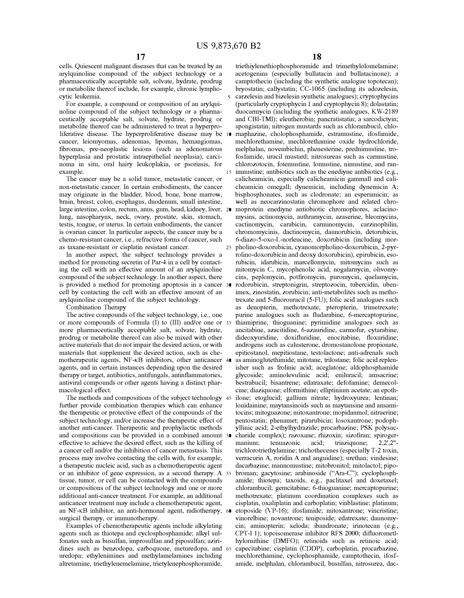cells. Quiescent malignant diseases that can be treated by an arylquinoline compound of the subject technology or a pharmaceutically acceptable salt, solvate, hydrate, prodrug or metabolite thereof include, for example, chronic lymphocytic leukemia.

For example, a compound or composition of an arylquinoline compound of the subject technology or a pharmaceutically acceptable salt, solvate, hydrate, prodrug or metabolite thereof can be administered to treat a hyperproliferative disease. The hyperproliferative disease may be 10 cancer, leiomyomas, adenomas, lipomas, hemangiomas, fibromas, pre-neoplastic lesions (such as adenomatous hyperplasia and prostatic intraepithelial neoplasia), carcinoma in situ, oral hairy leukoplakia, or psoriasis, for example.

The cancer may be a solid tumor, metastatic cancer, or non-metastatic cancer. In certain embodiments, the cancer may originate in the bladder, blood, bone, bone marrow, brain, breast, colon, esophagus, duodenum, small intestine, lung, nasopharynx, neck, ovary, prostate, skin, stomach, testis, tongue, or uterus. In certain embodiments, the cancer is ovarian cancer. In particular aspects, the cancer may be a chemo-resistant cancer, i.e., refractive forms of cancer, such as taxane-resistant or cisplatin resistant cancer.

In another aspect, the subject technology provides a method for promoting secretin of Par-4 in a cell by contacting the cell with an effective amount of an arylquinoline compound of the subject technology. In another aspect, there is provided a method for promoting apoptosis in a cancer 30 cell by contacting the cell with an effective amount of an arylquinoline compound of the subject technology.

Combination Therapy

The active compounds of the subject technology, i.e., one or more compounds of Formula (I) to (III) and/or one or 35 more pharmaceutically acceptable salt, solvate, hydrate, prodrug or metabolite thereof can also be mixed with other active materials that do not impair the desired action, or with materials that supplement the desired action, such as chemotherapeutic agents, NF-KB inhibitors, other anticancer 40 agents, and in certain instances depending upon the desired therapy or target, antibiotics, antifungals, antinflammatories, antiviral compounds or other agents having a distinct pharmacological effect.

The methods and compositions of the subject technology 45 further provide combination therapies which can enhance the therapeutic or protective effect of the compounds of the subject technology, and/or increase the therapeutic effect of another anti-cancer. Therapeutic and prophylactic methods and compositions can be provided in a combined amount 50 effective to achieve the desired effect, such as the killing of a cancer cell and/or the inhibition of cancer metastasis. This process may involve contacting the cells with, for example, or an inhibitor of gene expression, as a second therapy. A tissue, tumor, or cell can be contacted with the compounds or compositions of the subject technology and one or more additional anti-cancer treatment. For example, an additional anticancer treatment may include a chemotherapeutic agent, an NF-KB inhibitor, an anti-hormonal agent, radiotherapy, surgical therapy, or immunotherapy.

Examples of chemotherapeutic agents include alkylating agents such as thiotepa and cyclosphosphamide; alkyl sulfonates such as busulfan, improsulfan and piposulfan; aziridines such as benzodopa, carboquone, meturedopa, and uredopa; ethylenimines and methylamelamines including altretamine, triethy lenemelamine, triety lenephosphoramide,

18

triethiylenethiophosphoramide and trimethylolomelamine; acetogenins (especially bullatacin and bullatacinone); a camptothecin (including the synthetic analogue topotecan); bryostatin; callystatin; CC-1065 (including its adozelesin, carzelesin and bizelesin synthetic analogues); cryptophycins 5. (particularly cryptophycin 1 and cryptophycin 8); dolastatin; duocarmycin (including the synthetic analogues, KW-2189 and CBI-TMI); eleutherobin; pancratistatin; a sarcodictyin; spongistatin; nitrogen mustards such as chlorambucil, chlomaphazine, cholophosphamide, estramustine, ifosfamide, mechlorethamine, mechlorethamine oxide hydrochloride, melphalan, novembichin, phenesterine, prednimustine, trofosfamide, uracil mustard; nitrosureas such as carmustine, chlorozotocin, fotemustine, lomustine, nimustine, and ran-15 inmustine; antibiotics such as the enediyne antibiotics (e.g., calicheamicin, especially calicheamicin gammall and calicheamicin omegall; dynemicin, including dynemicin A; bisphosphonates, such as clodronate; an esperamicin; as well as neocarzinostatin chromophore and related chrolarge intestine, colon, rectum, anus, gum, head, kidney, liver, 20 moprotein enediyne antiobiotic chromophores, aclacinomysins, actinomycin, authramycin, azaserine, bleomycins, cactinomycin, carabicin, carminomycin, carzinophilin, chromomycinis, dactinomycin, daunorubicin, detorubicin, 6-diazo-5-oxo-L-norleucine, doxorubicin (including mor-25 pholino-doxorubicin, cyanomorpholino-doxorubicin, 2-pyrrolino-doxorubicin and deoxy doxorubicin), epirubicin, esorubicin, idarubicin, marcellomycin, mitomycins such as mitomycin C, mycophenolic acid, nogalamycin, olivomycins, peplomycin, potfiromycin, puromycin, quelamycin, rodorubicin, streptonigrin, streptozocin, tubercidin, ubenimex, zinostatin, zorubicin; anti-metabolites such as methotrexate and 5-fluorouracil (5-FU); folic acid analogues such as denopterin, methotrexate, pteropterin, trimetrexate; purine analogues such as fludarabine, 6-mercaptopurine, thiamiprine, thioguanine; pyrimidine analogues such as ancitabine, azacitidine, 6-azauridine, carmofur, cytarabine, dideoxyuridine, doxifluridine, enocitabine, floxuridine; androgens such as calusterone, dromostanolone propionate, epitiostanol, mepitiostane, testolactone; anti-adrenals such as aminoglutethimide, mitotane, trilostane; folic acid replenisher such as frolinic acid; aceglatone; aldophosphamide glycoside; aminolevulinic acid; eniluracil; amsacrine; bestrabucil; bisantrene; edatraxate; defofamine; demecolcine; diaziquone; elformithine; elliptinium acetate; an epothilone; etoglucid; gallium nitrate; hydroxyurea; lentinan; lonidainine; maytansinoids such as maytansine and ansamitocins; mitoguazone; mitoxantrone; mopidanmol; nitraerine; pentostatin; phenamet; pirarubicin; losoxantrone; podophyllinic acid; 2-ethylhydrazide; procarbazine; PSK polysaccharide complex); razoxane; rhizoxin; sizofiran; spirogermanium; tenuazonic acid; triaziquone; 2,2',2" trichlorotriethylamine; trichothecenes (especially T-2 toxin, verracurin A, roridin A and anguidine ); urethan; vindesine; a therapeutic nucleic acid, such as a chemotherapeutic agent dacarbazine; mannomustine; mitobronitol; mitolactol; pipobroman; gacytosine; arabinoside ("Ara-C"); cyclophosphamide; thiotepa; taxoids, e.g., paclitaxel and doxetaxel; chlorambucil; gemcitabine; 6-thioguanine; mercaptopurine; methotrexate; platinum coordination complexes such as cisplatin, oxaliplatin and carboplatin; vinblastine; platinum; etoposide (VP-16); ifosfamide; mitoxantrone; vincristine; vinorelbine; novantrone; teniposide; edatrexate; daunomycin; aminopterin; xeloda; ibandronate; irinotecan (e.g., CPT-I 1); topoisomerase inhibitor RFS 2000; difluorometlhylornithine (DMFO); retinoids such as retinoic acid; capecitabine; cisplatin (CDDP), carboplatin, procarbazine, mechlorethamine, cyclophosphamide, camptothecin, ifosfamide, melphalan, chlorambucil, busulfan, nitrosurea, dac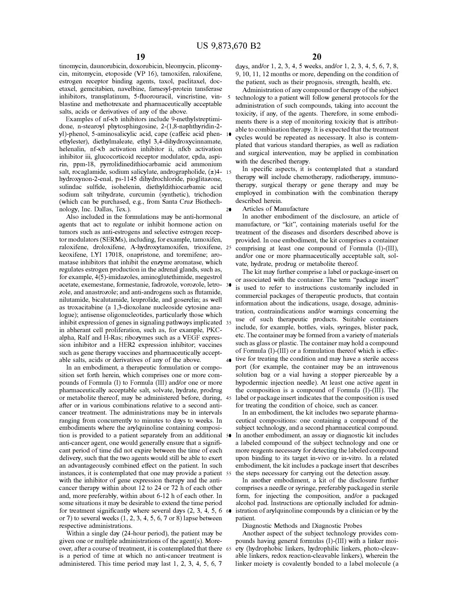5

20

tinomycin, daunorubicin, doxorubicin, bleomycin, plicomycin, mitomycin, etoposide (VP 16), tamoxifen, raloxifene, estrogen receptor binding agents, taxol, paclitaxel, docetaxel, gemcitabien, navelbine, famesyl-protein tansferase inhibitors, transplatinum, 5-fluorouracil, vincristine, vinblastine and methotrexate and pharmaceutically acceptable salts, acids or derivatives of any of the above.

Examples of nf-Kb inhibitors include 9-methylstreptimidone, n-stearoyl phytosphingosine, 2-(1,8-naphthyridin-2 yl)-phenol, 5-aminosalicylic acid, cape (caffeic acid phenethylester), diethylmaleate, ethyl 3,4-dihydroxycinnamate, helenalin, nf-Kb activation inhibitor ii, nfKb activation inhibitor iii, glucocorticoid receptor modulator, cpda, aspirin, ppm-18, pyrrolidinedithiocarbamic acid ammonium salt, rocaglamide, sodium salicylate, andrographolide,  $(\pm)4-15$ hydroxynon-2-enal, ps-1145 dihydrochloride, pioglitazone, sulindac sulfide, isohelenin, diethyldithiocarbamic acid sodium salt trihydrate, curcumin (synthetic), trichodion (which can be purchased, e.g., from Santa Cruz Biothechnology, Inc. Dallas, Tex.).

Also included in the formulations may be anti-hormonal agents that act to regulate or inhibit hormone action on tumors such as anti-estrogens and selective estrogen receptor modulators (SERMs), including, for example, tamoxifen, raloxifene, droloxifene, A-hydroxytamoxifen, trioxifene, 25 keoxifene, LYI 17018, onapristone, and toremifene; aromatase inhibitors that inhibit the enzyme aromatase, which regulates estrogen production in the adrenal glands, such as, for example, 4(5)-imidazoles, aminoglutethimide, megestrol acetate, exemestane, formestanie, fadrozole, vorozole, letro- 30 zole, and anastrozole; and anti-androgens such as flutamide, nilutamide, bicalutamide, leuprolide, and goserelin; as well as troxacitabine (a 1,3-dioxolane nucleoside cytosine analogue); antisense oligonucleotides, particularly those which inhibit expression of genes in signaling pathways implicated 35 in abherant cell proliferation, such as, for example, PKCalpha, Ralf and H-Ras; ribozymes such as a VEGF expression inhibitor and a HER2 expression inhibitor; vaccines such as gene therapy vaccines and pharmaceutically acceptable salts, acids or derivatives of any of the above.  $\overline{40}$  tive for treating the condition and may have a sterile access

In an embodiment, a therapeutic formulation or composition set forth herein, which comprises one or more compounds of Formula (I) to Formula (III) and/or one or more pharmaceutically acceptable salt, solvate, hydrate, prodrug or metabolite thereof, may be administered before, during, 45 after or in various combinations relative to a second anticancer treatment. The administrations may be in intervals ranging from concurrently to minutes to days to weeks. In embodiments where the arylquinoline containing composition is provided to a patient separately from an additional anti-cancer agent, one would generally ensure that a significant period of time did not expire between the time of each delivery, such that the two agents would still be able to exert an advantageously combined effect on the patient. In such instances, it is contemplated that one may provide a patient 55 with the inhibitor of gene expression therapy and the anticancer therapy within about 12 to 24 or 72 h of each other and, more preferably, within about 6-12 h of each other. In some situations it may be desirable to extend the time period for treatment significantly where several days  $(2, 3, 4, 5, 6, 6)$ or 7) to several weeks  $(1, 2, 3, 4, 5, 6, 7$  or 8) lapse between respective administrations.

Within a single day (24-hour period), the patient may be given one or multiple administrations of the agent(s). Moreover, after a course of treatment, it is contemplated that there is a period of time at which no anti-cancer treatment is administered. This time period may last 1, 2, 3, 4, 5, 6, 7

days, and/or 1, 2, 3, 4, 5 weeks, and/or 1, 2, 3, 4, 5, 6, 7, 8, 9, 10, 11, 12 months or more, depending on the condition of the patient, such as their prognosis, strength, health, etc.

Administration of any compound or therapy of the subject technology to a patient will follow general protocols for the administration of such compounds, taking into account the toxicity, if any, of the agents. Therefore, in some embodiments there is a step of monitoring toxicity that is attributable to combination therapy. It is expected that the treatment cycles would be repeated as necessary. It also is contemplated that various standard therapies, as well as radiation and surgical intervention, may be applied in combination with the described therapy.

In specific aspects, it is contemplated that a standard therapy will include chemotherapy, radiotherapy, immunotherapy, surgical therapy or gene therapy and may be employed in combination with the combination therapy described herein.

Articles of Manufacture

In another embodiment of the disclosure, an article of manufacture, or "kit", containing materials useful for the treatment of the diseases and disorders described above is provided. In one embodiment, the kit comprises a container comprising at least one compound of Formula (I)-(III), and/or one or more pharmaceutically acceptable salt, solvate, hydrate, prodrug or metabolite thereof.

The kit may further comprise a label or package-insert on or associated with the container. The term "package insert" is used to refer to instructions customarily included in commercial packages of therapeutic products, that contain information about the indications, usage, dosage, administration, contraindications and/or warnings concerning the use of such therapeutic products. Suitable containers include, for example, bottles, vials, syringes, blister pack, etc. The container may be formed from a variety of materials such as glass or plastic. The container may hold a compound of Formula (I)-(III) or a formulation thereof which is effecport (for example, the container may be an intravenous solution bag or a vial having a stopper pierceable by a hypodermic injection needle). At least one active agent in the composition is a compound of Formula (I)-(III). The label or package insert indicates that the composition is used for treating the condition of choice, such as cancer.

In an embodiment, the kit includes two separate pharmaceutical compositions: one containing a compound of the subject technology, and a second pharmaceutical compound. In another embodiment, an assay or diagnostic kit includes a labeled compound of the subject technology and one or more reagents necessary for detecting the labeled compound upon binding to its target in-vivo or in-vitro. In a related embodiment, the kit includes a package insert that describes the steps necessary for carrying out the detection assay.

In another embodiment, a kit of the disclosure further comprises a needle or syringe, preferably packaged in sterile form, for injecting the composition, and/or a packaged alcohol pad. Instructions are optionally included for administration of arylquinoline compounds by a clinician or by the patient.

Diagnostic Methods and Diagnostic Probes

Another aspect of the subject technology provides compounds having general formulas (I)-(III) with a linker moiety (hydrophobic linkers, hydrophilic linkers, photo-cleavable linkers, redox reaction-cleavable linkers), wherein the linker moiety is covalently bonded to a label molecule (a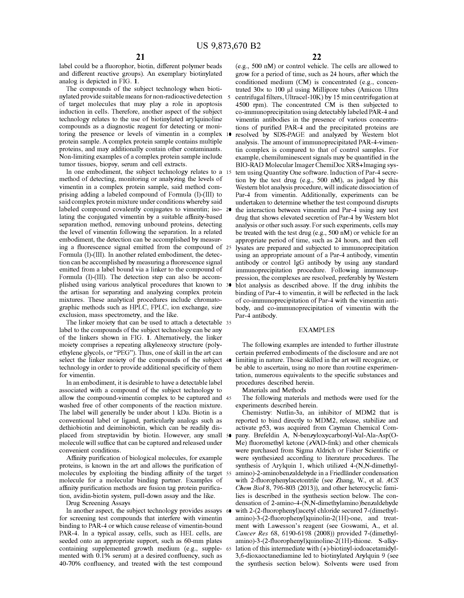label could be a fluorophor, biotin, different polymer beads and different reactive groups). An exemplary biotinylated analog is depicted in FIG. 1.

The compounds of the subject technology when biotinylated provide suitable means for non-radioactive detection of target molecules that may play a role in apoptosis induction in cells. Therefore, another aspect of the subject technology relates to the use of biotinylated arylquinoline compounds as a diagnostic reagent for detecting or monitoring the presence or levels of vimentin in a complex 10 protein sample. A complex protein sample contains multiple proteins, and may additionally contain other contaminants. Non-limiting examples of a complex protein sample include tumor tissues, biopsy, serum and cell extracts.

In one embodiment, the subject technology relates to a 15 method of detecting, monitoring or analyzing the levels of vimentin in a complex protein sample, said method comprising adding a labeled compound of Formula (I)-(III) to said complex protein mixture under conditions whereby said labeled compound covalently conjugates to vimentin; iso- 20 lating the conjugated vimentin by a suitable affinity-based separation method, removing unbound proteins, detecting the level of vimentin following the separation. In a related embodiment, the detection can be accomplished by measuring a fluorescence signal emitted from the compound of 25 Formula (I)-(III). In another related embodiment, the detection can be accomplished by measuring a fluorescence signal emitted from a label bound via a linker to the compound of Formula (I)-(III). The detection step can also be accomplished using various analytical procedures that known to 30 the artisan for separating and analyzing complex protein mixtures. These analytical procedures include chromatographic methods such as HPLC, FPLC, ion exchange, size exclusion, mass spectrometry, and the like.

The linker moiety that can be used to attach a detectable 35 label to the compounds of the subject technology can be any of the linkers shown in FIG. 1. Alternatively, the linker moiety comprises a repeating alkyleneoxy structure (polyethylene glycols, or "PEG"). Thus, one of skill in the art can select the linker moiety of the compounds of the subject 40 technology in order to provide additional specificity of them for vimentin.

In an embodiment, it is desirable to have a detectable label associated with a compound of the subject technology to allow the compound-vimentin complex to be captured and 45 washed free of other components of the reaction mixture. The label will generally be under about 1 kDa. Biotin is a conventional label or ligand, particularly analogs such as dethiobiotin and deiminobiotin, which can be readily displaced from streptavidin by biotin. However, any small 50 molecule will suffice that can be captured and released under convenient conditions.

Affinity purification of biological molecules, for example proteins, is known in the art and allows the purification of molecules by exploiting the binding affinity of the target 55 molecule for a molecular binding partner. Examples of affinity purification methods are fusion tag protein purification, avidin-biotin system, pull-down assay and the like.

Drug Screening Assays

In another aspect, the subject technology provides assays 60 for screening test compounds that interfere with vimentin binding to PAR-4 or which cause release of vimentin-bound PAR-4. In a typical assay, cells, such as HEL cells, are seeded onto an appropriate support, such as 60-mm plates containing supplemented growth medium (e.g., supple- 65 mented with 0.1% serum) at a desired confluency, such as 40-70% confluency, and treated with the test compound

22

( e.g., 500 nM) or control vehicle. The cells are allowed to grow for a period of time, such as 24 hours, after which the conditioned medium (CM) is concentrated (e.g., concentrated  $30 \times$  to 100 µl using Millipore tubes (Amicon Ultra centrifugal filters, Ultracel-10K) by 15 min centrifugation at 4500 rpm). The concentrated CM is then subjected to co-immunoprecipitation using detectably labeled PAR-4 and vimentin antibodies in the presence of various concentrations of purified PAR-4 and the precipitated proteins are resolved by SDS-PAGE and analyzed by Western blot analysis. The amount of immunoprecipitated PAR-4-vimentin complex is compared to that of control samples. For example, chemiluminescent signals may be quantified in the BIO-RAD Molecular Imager ChemiDoc XRS+Imaging system using Quantity One software. Induction of Par-4 secretion by the test drug (e.g.,  $500$  nM), as judged by this Western blot analysis procedure, will indicate dissociation of Par-4 from vimentin. Additionally, experiments can be undertaken to determine whether the test compound disrupts the interaction between vimentin and Par-4 using any test drug that shows elevated secretion of Par-4 by Western blot analysis or other such assay. For such experiments, cells may be treated with the test drug (e.g., 500 nM) or vehicle for an appropriate period of time, such as 24 hours, and then cell lysates are prepared and subjected to immunoprecipitation using an appropriate amount of a Par-4 antibody, vimentin antibody or control IgG antibody by using any standard immunoprecipitation procedure. Following immunosuppression, the complexes are resolved, preferably by Western blot analysis as described above. If the drug inhibits the binding of Par-4 to vimentin, it will be reflected in the lack of co-immunoprecipitation of Par-4 with the vimentin antibody, and co-immunoprecipitation of vimentin with the Par-4 antibody.

#### EXAMPLES

The following examples are intended to further illustrate certain preferred embodiments of the disclosure and are not limiting in nature. Those skilled in the art will recognize, or be able to ascertain, using no more than routine experimentation, numerous equivalents to the specific substances and procedures described herein.

Materials and Methods

The following materials and methods were used for the experiments described herein.

Chemistry: Nutlin-3a, an inhibitor of MDM2 that is reported to bind directly to MDM2, release, stabilize and activate p53, was acquired from Cayman Chemical Company. Brefeldin A, N-benzyloxycarbonyl-Val-Ala-Asp(O-Me) fluoromethyl ketone (zVAD-fmk) and other chemicals were purchased from Sigma Aldrich or Fisher Scientific or were synthesized according to literature procedures. The synthesis of Arylquin 1, which utilized 4-(N,N-dimethylamino )-2-aminobenzaldehyde in a Friedlander condensation with 2-fluorophenylacetontrile (see Zhang, W., et al. *ACS Chem Biol* 8, 796-803 (2013)), and other heterocyclic families is described in the synthesis section below. The condensation of 2-amino-4-(N,N-dimethylamino )benzaldehyde with 2-(2-fluorophenyl)acetyl chloride secured 7-(dimethylamino)-3-(2-fluorophenyl)quinolin-2(1H)-one, and treatment with Lawesson's reagent (see Goswami, A., et al. *Cancer Res* 68, 6190-6198 (2008)) provided 7-(dimethylamino)-3-(2-fluorophenyl)quinoline-2(1H)-thione. S-alkylation of this intermediate with (+)-biotinyl-iodoacetamidyl-3,6-dioxaoctanediamine led to biotinylated Arylquin 9 (see the synthesis section below). Solvents were used from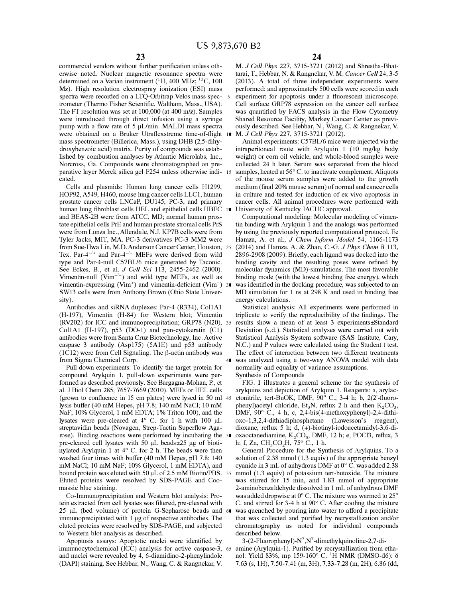commercial vendors without further purification unless otherwise noted. Nuclear magnetic resonance spectra were determined on a Varian instrument (<sup>1</sup>H, 400 MHz; <sup>13</sup>C, 100 Mz). High resolution electrospray ionization (ESI) mass spectra were recorded on a LTQ-Orbitrap Velos mass spec- 5 trometer (Thermo Fisher Scientific, Waltham, Mass., USA). The FT resolution was set at 100,000 (at 400 m/z). Samples were introduced through direct infusion using a syringe pump with a flow rate of 5 µL/min. MALDI mass spectra were obtained on a Bruker Utraflexstreme time-of-flight 10 mass spectrometer (Billerica, Mass.), using DHB (2,5-dihydroxybenzoic acid) matrix. Purity of compounds was established by combustion analyses by Atlantic Microlabs, Inc., Norcross, Ga. Compounds were chromatographed on preparative layer Merck silica gel F254 unless otherwise indi- 15 cated.

Cells and plasmids: Human lung cancer cells H1299, HOP92, A549, H460, mouse lung cancer cells LLCl, human prostate cancer cells LNCaP, DU145, PC-3, and primary human lung fibroblast cells HEL and epithelial cells HBEC 20 and BEAS-2B were from ATCC, MD; normal human prostate epithelial cells PrE and human prostate stromal cells PrS were from Lonza Inc., Allendale, N.J. KP7B cells were from Tyler Jacks, MIT, MA. PC-3 derivatives PC-3 MM2 were from Sue-Hwa Lin, M.D. Anderson Cancer Center, Houston, 25 Tex. Par-4<sup>+/+</sup> and Par-4<sup>-/-</sup> MEFs were derived from wild type and Par-4-null C57BL/6 mice generated by Taconic. See Eckes, B., et al. *J Cell Sci* 113, 2455-2462 (2000). Vimentin-null  $(Vim^{-/-})$  and wild type MEFs, as well as vimentin-expressing (Vim<sup>+</sup>) and vimentin-deficient (Vim<sup>-</sup>) 30 SW13 cells were from Anthony Brown (Ohio State University).

Antibodies and siRNA duplexes: Par-4 (R334), CollAl (H-197), Vimentin (H-84) for Western blot; Vimentin (RV202) for ICC and immunoprecipitation; GRP78 (N20), 35 CollAl (H-197), p53 (D0-1) and pan-cytokeratin (Cl) antibodies were from Santa Cruz Biotechnology, Inc. Active caspase 3 antibody (Asp175) (5A1E) and p53 antibody (1C12) were from Cell Signaling. The  $\beta$ -actin antibody was from Sigma Chemical Corp.

Pull down experiments: To identify the target protein for normality and equality of variance assumptions. compound Arylquin 1, pull-down experiments were performed as described previously. See Bargagna-Mohan, P., et al. J Biol Chem 285, 7657-7669 (2010). MEFs or HEL cells (grown to confluence in 15 cm plates) were lysed in 50 ml 45 lysis buffer (40 mM Hepes, pH 7.8; 140 mM NaCl; 10 mM NaF; 10% Glycerol, 1 mM EDTA; 1% Triton 100), and the lysates were pre-cleared at  $4^{\circ}$  C. for 1 h with 100 µL streptavidin beads (Novagen, Strep-Tactin Superflow Agarose). Binding reactions were performed by incubating the 50 pre-cleared cell lysates with 50 µL beads±25 µg of biotinylated Arylquin 1 at 4 ° C. for 2 h. The beads were then washed four times with buffer (40 mM Hepes, pH 7.8; 140 mM NaCl; 10 mM NaF; 10% Glycerol, 1 mM EDTA), and bound protein was eluted with 50 µL of 2.5 mM Biotin/PBS. 55 Eluted proteins were resolved by SDS-PAGE and Coomassie blue staining.

Co-Immunoprecipitation and Western blot analysis: Protein extracted from cell lysates was filtered, pre-cleared with 25 µL (bed volume) of protein G-Sepharose beads and 60 immunoprecipitated with 1 µg of respective antibodies. The eluted proteins were resolved by SDS-PAGE, and subjected to Western blot analysis as described.

Apoptosis assays: Apoptotic nuclei were identified by immunocytochemical (ICC) analysis for active caspase-3, 65 and nuclei were revealed by 4, 6-diamidino-2-phenylindole (DAPI) staining. See Hebbar, N., Wang, C. & Rangnekar, V.

M. *J Cell Phys* 227, 3715-3721 (2012) and Shrestha-Bhattarai, T., Hebbar, N. & Rangnekar, V. M. *Cancer Cell* 24, 3-5 (2013). A total of three independent experiments were performed; and approximately 500 cells were scored in each experiment for apoptosis under a fluorescent microscope. Cell surface GRP78 expression on the cancer cell surface was quantified by FACS analysis in the Flow Cytometry Shared Resource Facility, Markey Cancer Center as previously described. See Hebbar, N., Wang, C. & Rangnekar, V. M. *J Cell Phys* 227, 3715-3721 (2012).

Animal experiments: C57BL/6 mice were injected via the intraperitoneal route with Arylquin 1 (10 mg/kg body weight) or com oil vehicle, and whole-blood samples were collected 24 h later. Serum was separated from the blood samples, heated at 56° C. to inactivate complement. Aliquots of the mouse serum samples were added to the growth medium (final 20% mouse serum) of normal and cancer cells in culture and tested for induction of ex vivo apoptosis in cancer cells. All animal procedures were performed with University of Kentucky IACUC approval.

Computational modeling: Molecular modeling of vimentin binding with Arylquin 1 and the analogs was performed by using the previously reported computational protocol. Ee Hamza, A. et al., *J Chem Inform Model* 54, 1166-1173 (2014) and Hamza, A. & Zhan, C.-G. *J Phys Chem B* 113, 2896-2908 (2009). Briefly, each ligand was docked into the binding cavity and the resulting poses were refined by molecular dynamics (MD)-simulations. The most favorable binding mode (with the lowest binding free energy), which was identified in the docking procedure, was subjected to an MD simulation for 1 ns at 298 K and used in binding free energy calculations.

Statistical analysis: All experiments were performed in triplicate to verify the reproducibility of the findings. The results show a mean of at least 3 experiments±Standard Deviation (s.d.). Statistical analyses were carried out with Statistical Analysis System software (SAS Institute, Cary, N.C.) and P values were calculated using the Student t test. The effect of interaction between two different treatments 40 was analyzed using a two-way ANOVA model with data

Synthesis of Compounds

FIG. 1 illustrates a general scheme for the synthesis of arylquins and depiction of Arylquin 1. Reagents: a, arylacetonitrile, tert-BuOK, DMF, 90° C., 3-4 h; b, 2(2'-fluorophenyl)acetyl chloride,  $Et_3N$ , reflux 2 h and then  $K_2CO_3$ , DMF,  $90^{\circ}$  C., 4 h; c, 2,4-bis(4-methoxyphenyl)-2,4-dithioxo-1,3,2,4-dithiadiphosphetane (Lawesson's reagent), dioxane, reflux 5 h; d, (+)-biotinyl-iodoacetamidyl-3,6-dioxaoctanediamine, K<sub>2</sub>CO<sub>3</sub>, DMF, 12 h; e, POCl3, reflux, 3 h; f, Zn, CH<sub>3</sub>CO<sub>2</sub>H, 75° C., 1 h.

General Procedure for the Synthesis of Arylquins. To a solution of 2.38 mmol (1.3 equiv) of the appropriate benzyl cyanide in 3 mL of anhydrous DMF at 0° C. was added 2.38 mmol (1.3 equiv) of potassium tert-butoxide. The mixture was stirred for 15 min, and 1.83 mmol of appropriate 2-aminobenzaldehyde dissolved in 1 mL of anhydrous DMF was added dropwise at 0 ° C. The mixture was warmed to 25° C. and stirred for 3-4 h at 90° C. After cooling the mixture was quenched by pouring into water to afford a precipitate that was collected and purified by recrystallization and/or chromatography as noted for individual compounds described below.

3-(2-Fluorophenyl)-N<sup>7</sup>, N<sup>7</sup>-dimethylquinoline-2, 7-diamine (Arylquin-1). Purified by recrystallization from ethanol: Yield 83%, mp 159-160° C. <sup>1</sup>H NMR (DMSO-d6): δ 7.63 (s, lH), 7.50-7.41 (m, 3H), 7.33-7.28 (m, 2H), 6.86 (dd,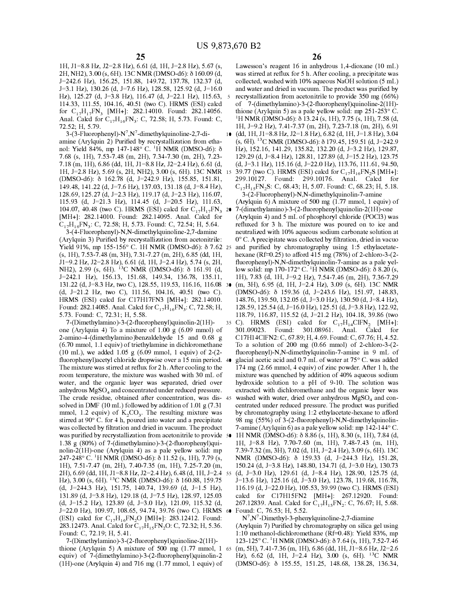2H, NH2),  $3.00$  (s, 6H). 13C NMR (DMSO-d6):  $\delta$  160.09 (d, was stirred at reflux for 5 h. After cooling, a precipitate was *1=242.6* Hz), 156.25, 151.88, 149.72, 137.78, 132.37 (d, collected, washed with 10% aqueous NaOH solution (5 mL) *1=3.l* Hz), 130.26 (d, *1=7.6* Hz), 128.58, 125.92 (d, 1=16.0 and water and dried in vacuum. The product was purified by Hz), 125.27 (d, J=3.8 Hz), 116.47 (d, J=22.1 Hz), 115.63, 5 recrystallization from acetonitrile to provide 350 mg (66%) 114.33, 111.55, 104.16, 40.51 (two C). HRMS (ESI) calcd of 7-(dimethylamino)-3-(2-fluorophenyl)quinoli for  $C_{17}H_{17}FN_3$  [MH+]: 282.14010. Found: 282.14056. thione (Arylquin 5) as a pale yellow solid: mp 251-253° C. Anal. Calcd for  $C_{17}H_{16}FN_3$ : C, 72.58; H, 5.73. Found: C, 72.52; H, 5.79. lH, *1=9.2* Hz), 7.41-7.37 (m, 2H), 7.23-7.18 (m, 2H), 6.91

 $3-(3-Fluorophenyl)-N^7, N^7$ 149.48, 141.22 (d, J=7.6 Hz), 137.03, 131.18 (d, J=8.4 Hz), C<sub>17</sub>H<sub>15</sub>FN<sub>2</sub>S: C, 68.43; H, 5.07. Found: C, 68.23; H, 5.18.<br>128.69, 125.27 (d, J=2.3 Hz), 119.17 (d, J=2.3 Hz), 116.07, 3-(2-Fluorophenyl)-N,N-dimethylquinolin 128.69, 125.27 (d, J=2.3 Hz), 119.17 (d, J=2.3 Hz), 116.07, 115.93 (d, J=21.3 Hz), 114.45 (d, J=20.5 Hz), 111.63, 104.07, 40.48 (two C). HRMS (ESI) calcd for  $C_{17}H_{17}FN_3$  20 7-(dimethylamino)-3-(2-fluorophenyl)quinolin-2(1H)-one [MH+]: 282.14010. Found: 282.14095. Anal. Calcd for (Arylquin 4) and 5 mL of phosphoryl chloride (POCl3  $C_{17}H_{16}FN_3$ : C, 72.58; H, 5.73. Found: C, 72.54; H, 5.64.<br>3-(4-Fluorophenyl)-N,N-dimethylquinoline-2,7-damine

(Arylquin 3) Purified by recrystallization from acetonitrile: NH2), 2.99 (s, 6H). <sup>13</sup>C NMR (DMSO-d6):  $\delta$  161.91 (d, Found: 282.14085. Anal. Calcd for  $C_{17}H_{16}FN_3$ : C, 72.58; H, 5.73. Found: C, 72.31; H, 5.58.

one (Arylquin 4) To a mixture of 1.00 g (6.09 mmol) of 301.09023. Found: 301.08961. Anal. Calcd for 2-amino-4-(dimethylamino)benzaldehyde 15 and 0.68 g Cl 7H14CIFN2: C, 67.89; H, 4.69. Found: C, 67.76; H, 4.52. (6.70 mmol, 1.1 equiv) of triethylamine in dichloromethane To a solution of 200 mg (0.66 mmol) of 2-chloro-3-(2- (10 mL), we added 1.05 g (6.09 mmol, 1 equiv) of 2-(2- fluorophenyl)-N,N-dimethylquinolin-7-amine in 9 mL of fluorophenyl)acetyl chloride dropwise over a 15 min period. 40 glacial acetic acid and 0.7 mL of water at 75° C. was added The mixture was stirred at reflux for 2 h. After cooling to the 174 mg (2.66 mmol, 4 equiv) of zinc powder. After 1 h, the room temperature, the mixture was washed with 30 mL of mixture was quenched by addition of 40% aqueous sodium water, and the organic layer was separated, dried over hydroxide solution to a pH of 9-10. The solution was anhydrous MgSO<sub>4</sub> and concentrated under reduced pressure. extracted with dichloromethane and the organic layer was The crude residue, obtained after concentration, was dis-45 washed with water, dried over anhydrous MgSO<sub>4</sub> The crude residue, obtained after concentration, was dis-  $45$  solved in DMF (10 mL) followed by addition of 1.01 g (7.31 mmol, 1.2 equiv) of  $K_2CO_3$ . The resulting mixture was stirred at 90 $^{\circ}$  C. for 4 h, poured into water and a precipitate was collected by filtration and dried in vacuum. The product 7-amine (Arylquin 6) as a pale yellow solid: mp 142-144° C. was purified by recrystallization from acetonitrile to provide  $\overline{50}$  1H NMR (DMSO-d6):  $\delta$  8.86 (s, 1H), 8.30 (s, 1H), 7.84 (d, 1.38 g (80%) of 7-(dimethylamino)-3-(2-fluorophenyl)qui- lH, 1=8.8 Hz), 7.70-7.60 (m, lH), 7.48-7.43 (m, lH), nolin-2(1H)-one (Arylquin 4) as a pale yellow solid: mp 7.39-7.32 (m, 3H), 7.02 (d, lH, *1=2.4* Hz), 3.09 (s, 6H). 13C 247-248° C. <sup>1</sup>H NMR (DMSO-d6):  $\delta$  11.52 (s, 1H), 7.79 (s, NMR (DMSO-d6):  $\delta$  159.33 (d, *J*=244.3 Hz), 151.28, lH), 7.51-7.47 (m, 2H), 7.40-7.35 (m, lH), 7.25-7.20 (m, 150.24 (d, 1=3.8 Hz), 148.80, 134.71 (d, *1=3.0* Hz), 130.73 2H), 6.69 (dd, lH, 11=8.8 Hz, *12=2.4* Hz), 6.48 (d, lH, *1=2.4* 55 (d, *1=3.0* Hz), 129.61 (d, 1=8.4 Hz), 128.90, 125.75 (d, (d, *1=244.3* Hz), 151.75, 140.74, 139.69 (d, *l=l.5* Hz), 116.19 (d, *1=22.0* Hz), 105.53, 39.99 (two C). HRMS (ESI) 131.89 (d, 1=3.8 Hz), 129.18 (d, *1=7.5* Hz), 128.97, 125.03 calcd for C17H15FN2 [MH+]: 267.12920. Found: (d, J=15.2 Hz), 123.89 (d, J=3.0 Hz), 121.09, 115.32 (d, 267.12839. Anal. Calcd for J=22.0 Hz), 109.97, 108.65, 94.74, 39.76 (two C). HRMS  $\bullet\bullet\$  Found: C, 76.53; H, 5.52. *J*=22.0 Hz), 109.97, 108.65, 94.74, 39.76 (two C). HRMS 60 (ESI) calcd for  $C_{17}H_{16}FN_2O$  [MH+]: 283.12412. Found: 283.12473. Anal. Calcd for  $C_{17}H_{16}FN_2O$ : C, 72.32; H, 5.36.

thione (Arylquin 5) A mixture of 500 mg (1.77 mmol, 1 65 (m, *SH),* 7.41-7.36 (m, lH), 6.86 (dd, lH, 11=8.6 Hz, *12=2.6*  equiv) of 7-(dimethylamino)-3-(2-fluorophenyl)quinolin-2 Hz), 6.62 (d, lH, *1=2.4* Hz), 3.00 (s, 6H). <sup>13</sup>C NMR (1H)-one (Arylquin 4) and 716 mg (1.77 mmol, 1 equiv) of (DMSO-d6):  $\delta$  155.55, 151.25, 148.68, 138.28, 136.34,

lH, 11=8.8 Hz, 12=2.8 Hz), 6.61 (d, lH, 1=2.8 Hz), 5.67 (s, Lawesson's reagent 16 in anhydrous 1,4-dioxane (10 mL) of 7-(dimethylamino)-3-(2-fluorophenyl)quinoline-2(1H)-<sup>1</sup>H NMR (DMSO-d6):  $\delta$  13.24 (s, 1H), 7.75 (s, 1H), 7.58 (d, 10 (dd, 1H, J1=8.8 Hz, J2=1.8 Hz), 6.82 (d, 1H, J=1.8 Hz), 3.04 amine (Arylquin 2) Purified by recrystallization from etha- (s, 6H). <sup>13</sup>C NMR (DMSO-d6):  $\delta$  179.45, 159.51 (d, *J*=242.9 nol: Yield 84%, mp 147-148° C. <sup>1</sup>H NMR (DMSO-d6):  $\delta$  Hz), 152.16, 141.29, 135.82, 132.20 (d, *J* no!: Yield 84%, mp 147-148° C. <sup>1</sup>H NMR (DMSO-d6): Ii Hz), 152.16, 141.29, 135.82, 132.20 (d, *1=3.2* Hz), 129.87, 7.68 (s, lH), 7.53-7.48 (m, 2H), 7.34-7.30 (m, 2H), 7.23- 129.29 (d, 1=8.4 Hz), 128.81, 127.89 (d, 1=15.2 Hz), 123.75 7.18 (m, lH), 6.86 (dd, lH, 11=8.8 Hz, *12=2.4* Hz), 6.61 (d, (d, 1=3.1 Hz), 115.16 (d, *1=22.0* Hz), 113.76, 111.61, 94.50, 1H, J=2.8 Hz), 5.69 (s, 2H, NH2), 3.00 (s, 6H). 13C NMR 15 39.77 (two C). HRMS (ESI) calcd for  $C_{17}H_{16}FN_2S$  [MH+]: (DMSO-d6): Ii 162.78 (d, *1=242.9* Hz), 155.85, 151.81, 299.10127. Found: 299.10176. Anal. Calcd for

 $(Arylquin 6)$  A mixture of 500 mg  $(1.77 \text{ mmol}, 1 \text{ equiv})$  of  $(Arylquin 4)$  and 5 mL of phosphoryl chloride (POCl3) was

refluxed for 3 h. The mixture was poured on to ice and neutralized with 10% aqueous sodium carbonate solution at ° C. A precipitate was collected by filtration, dried in vacuo Yield 91%, mp 155-156° C. 1H NMR (DMSO-d6):  $\delta$  7.62 25 and purified by chromatography using 1:5 ethylacetate- $(s, 1H), 7.53-7.48$  (m, 3H), 7.31-7.27 (m, 2H), 6.85 (dd, 1H, hexane (Rf=0.25) to afford 415 mg (78%) of 2-chloro-3-(2-11=9.2 Hz, 12=2.8 Hz), 6.61 (d, lH, *1=2.4* Hz), 5.74 (s, 2H, fluorophenyl)-N,N-dimethylquinolin-7-amine as a pale yel-*1=242.l* Hz), 156.13, 151.68, 149.34, 136.78, 135.11, lH), 7.83 (d, lH, *1=9.2* Hz), 7.54-7.46 (m, 2H), 7.36-7.29 131.22 (d, 1=8.3 Hz, two C), 128.55, 119.53, 116.16, 116.08 30 (m, 3H), 6.95 (d, lH, *1=2.4* Hz), 3.09 (s, 6H). 13C NMR (d, *1=21.2* Hz, two C), 111.56, 104.16, 40.51 (two C). (DMSO-d6): Ii 159.36 (d, *1=243.6* Hz), 151.97, 148.83, HRMS (ESI) calcd for C17H17FN3 [MH+]: 282.14010. 148.76, 139.50, 132.05 (d, *1=3.0* Hz), 130.50 (d, 1=8.4 Hz), 128.59, 125.54 (d, J=16.0 Hz), 125.51 (d, J=3.8 Hz), 122.92, 5.73. Found: C, 72.31; H, 5.58. 118.79, 116.87, 115.52 (d, *1=21.2* Hz), 104.18, 39.86 (two 35 C). HRMS (ESI) calcd for  $C_{17}H_{14}ClFN_2$  [MH+]: centrated under reduced pressure. The product was purified by chromatography using 1:2 ethylacetate-hexane to afford 98 mg (55%) of 3-(2-fluorophenyl)-N,N-dimethylquinolin-Hz), 3.00 (s, 6H). <sup>13</sup>C NMR (DMSO-d6): ll 160.88, 159.75 *1=13.6* Hz), 125.16 (d, *1=3.0* Hz), 123.78, 119.68, 116.78, 267.12839. Anal. Calcd for  $C_{17}H_{15}FN_2$ : C, 76.67; H, 5.68.

7 ,N<sup>7</sup> -Dimethyl-3-phenylquinoline-2,7-diamine (Arylquin 7) Purified by chromatography on silica gel using Found: C, 72.19; H, 5.41. 1:10 methanol-dichloromethane (Rf=0.48): Yield 83%, mp 7-(Dimethylamino)-3-(2-fluorophenyl)quinoline-2(1H)- 123-125° C. <sup>1</sup>H NMR (DMSO-d6):  $\delta$  7.64 (s, 1H), 7.52-7.46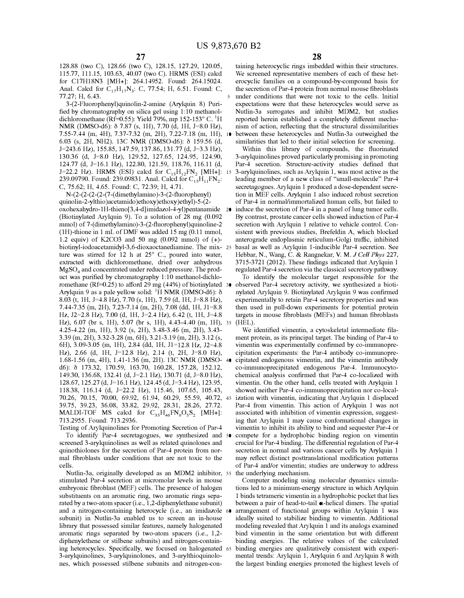128.88 (two C), 128.66 (two C), 128.15, 127.29, 120.05, 115.77, 111.15, 103.63, 40.07 (two C). HRMS (ESI) calcd for C17H18N3 [MH+]: 264.14952. Found: 264.15024. Anal. Calcd for  $C_{17}H_{17}N_3$ : C, 77.54; H, 6.51. Found: C,

3-(2-Fluorophenyl)quinolin-2-amine (Arylquin 8) Purified by chromatography on silica gel using 1: 10 methanoldichloromethane (Rf=0.55): Yield 79%, mp 152-153 $^{\circ}$  C. <sup>1</sup>H NMR (DMSO-d6):  $\delta$  7.87 (s, 1H), 7.70 (d, 1H, J=8.0 Hz), 7.55-7.44 (m, 4H), 7.37-7.32 (m, 2H), 7.22-7.18 (m, lH), 10 6.03 (s, 2H, NH2). 13C NMR (DMSO-d6):  $\delta$  159.56 (d, *1=243.6* Hz), 155.85, 147.59, 137.86, 131.77 (d, *1=3.3* Hz), 130.36 (d, 1=8.0 Hz), 129.52, 127.65, 124.95, 124.90, 124.77 (d, 1=16.1 Hz), 122.80, 121.59, 118.76, 116.11 (d, **1=22.2 Hz). HRMS (ESI) calcd for**  $C_{15}H_{12}FN_2$  **[MH+]: 15** 239.09790. Found: 239.09831. Anal. Calcd for  $C_{15}H_{11}FN_2$ : C, 75.62; H, 4.65. Found: C, 72.39; H, 4.71.

N-(2-(2-(2-(2-(7-( dimethylamino )-3-(2-fluorophenyl) quinolin-2-ylthio )acetamido )ethoxy)ethoxy )ethyl)-5-(2 oxohexahydro-l H-thieno[3 ,4-d]imidazol-4-y l)pentanamide 20 (Biotinylated Arylquin 9). To a solution of 28 mg (0.092 mmol) of 7-(dimethylamino)-3-(2-fluorophenyl)quinoline-2 (1H)-thione in 1 mL of DMF was added 15 mg  $(0.11 \text{ mmol},$ 1.2 equiv) of K2CO3 and 50 mg  $(0.092 \text{ mmol})$  of  $(+)$ biotinyl-iodoacetamidyl-3,6-dioxaoctanediamine. The mix- 25 ture was stirred for 12 h at 25° C., poured into water, extracted with dichloromethane, dried over anhydrous  $MgSO<sub>4</sub>$  and concentrated under reduced pressure. The product was purified by chromatography 1:10 methanol-dichloromethane (Rf=0.25) to afford 29 mg (44%) of biotinylated  $30$ Arylquin 9 as a pale yellow solid:  $^1$ H NMR (DMSO-d6):  $\delta$ 8.03 (t, lH, 1=4.8 Hz), 7.70 (s, lH), 7.59 (d, lH, 1=8.8 Hz), 7.44-7.35 (m, 2H), 7.23-7.14 (m, 2H), 7.08 (dd, lH, 11<sup>=</sup>8.8 Hz, 12=2.8 Hz), 7.00 (d, lH, *1=2.4* Hz), 6.42 (t, lH, 1=4.8 Hz), 6.07 (br s, lH), 5.07 (br s, lH), 4.43-4.40 (m, lH), 35 (HEL). 4.25-4.22 (m, lH), 3.92 (s, 2H), 3.48-3.46 (m, 2H), 3.43- 3.39 (m, 2H), 3.32-3.28 (m, 6H), 3.21-3.19 (m, 2H), 3.12 (s, 6H), 3.09-3.05 (m, lH), 2.84 (dd, lH, 11=12.8 Hz, 12=4.8 Hz), 2.66 (d, lH, 1=12.8 Hz), 2.14 (t, 2H, 1=8.0 Hz), 1.68-1.56 (m, 4H), 1.41-1.36 (m, 2H). 13C NMR (DMSO- 40 d6):  $\delta$  173.32, 170.59, 163.70, 160.28, 157.28, 152.12, 149.30, 136.68, 132.41 (d, 1=2.1 Hz), 130.71 (d, 1=8.0 Hz), 128.67, 125.27 (d, 1=16.1 Hz), 124.45 (d, *1=3.4* Hz), 123.95, 118.38, 116.14 (d, *1=22.2* Hz), 115.46, 107.65, 105.43, 70.26, 70.15, 70.00, 69.92, 61.94, 60.29, 55.59, 40.72, 45 39.75, 39.23, 36.08, 33.82, 29.92, 28.31, 28.26, 27.72. MALDI-TOF MS calcd for  $C_{35}H_{46}FN_{6}O_{5}S_{2}$  [MH+]: 713.2955. Found: 713.2936.

Testing of Arylquinolines for Promoting Secretion of Par-4 To identify Par-4 secretagogues, we synthesized and screened 3-arylquinolines as well as related quinolones and quinothiolones for the secretion of Par-4 protein from normal fibroblasts under conditions that are not toxic to the cells.

Nutlin-3a, originally developed as an MDM2 inhibitor, 55 the underlying mechanism. stimulated Par-4 secretion at micromolar levels in mouse embryonic fibroblast (MEF) cells. The presence of halogen substituents on an aromatic ring, two aromatic rings separated by a two-atom spacer (i.e., 1,2-diphenylethane subunit) and a nitrogen-containing heterocycle (i.e., an imidazole 60 subunit) in Nutlin-3a enabled us to screen an in-house library that possessed similar features, namely halogenated aromatic rings separated by two-atom spacers (i.e., 1,2 diphenylethene or stilbene subunits) and nitrogen-containing heterocycles. Specifically, we focused on halogenated 65 3-arylquinolines, 3-arylquinolones, and 3-arylthioquinolones, which possessed stilbene subunits and nitrogen-con-

taining heterocyclic rings imbedded within their structures. We screened representative members of each of these heterocyclic families on a compound-by-compound basis for the secretion of Par-4 protein from normal mouse fibroblasts 77.27; H, 6.43. 5 under conditions that were not toxic to the cells. Initial expectations were that these heterocycles would serve as Nutlin-3a surrogates and inhibit MDM2, but studies reported herein established a completely different mechanism of action, reflecting that the structural dissimilarities between these heterocycles and Nutlin-3a outweighed the similarities that led to their initial selection for screening.

Within this library of compounds, the fluorinated 3-arylquinolines proved particularly promising in promoting Par-4 secretion. Structure-activity studies defined that 3-arylquinolines, such as Arylquin 1, was most active as the leading member of a new class of "small-molecule" Par-4 secretagogues. Arylquin 1 produced a dose-dependent secretion in MEF cells. Arylquin 1 also induced robust secretion of Par-4 in normal/immortalized human cells, but failed to induce the secretion of Par-4 in a panel of lung tumor cells. By contrast, prostate cancer cells showed induction of Par-4 secretion with Arylquin 1 relative to vehicle control. Consistent with previous studies, Brefeldin A, which blocked anterograde endoplasmic reticulum-Golgi traffic, inhibited basal as well as Arylquin I-inducible Par-4 secretion. See Hebbar, N., Wang, C. & Rangnekar, V. M. *J Cell Phys* 227, 3715-3721 (2012). These findings indicated that Arylquin 1 regulated Par-4 secretion via the classical secretory pathway.

To identify the molecular target responsible for the observed Par-4 secretory activity, we synthesized a biotinylated Arylquin 9. Biotinylated Arylquin 9 was confirmed experimentally to retain Par-4 secretory properties and was then used in pull-down experiments for potential protein targets in mouse fibroblasts (MEFs) and human fibroblasts

We identified vimentin, a cytoskeletal intermediate filament protein, as its principal target. The binding of Par-4 to vimentin was experimentally confirmed by co-immunoprecipitation experiments: the Par-4 antibody co-immunoprecipitated endogenous vimentin, and the vimentin antibody co-immunoprecipitated endogenous Par-4. Immunocytochemical analysis confirmed that Par-4 co-localized with vimentin. On the other hand, cells treated with Arylquin 1 showed neither Par-4 co-immunoprecipitation nor co-localization with vimentin, indicating that Arylquin 1 displaced Par-4 from vimentin. This action of Arylquin 1 was not associated with inhibition of vimentin expression, suggesting that Arylquin 1 may cause conformational changes in vimentin to inhibit its ability to bind and sequester Par-4 or compete for a hydrophobic binding region on vimentin crucial for Par-4 binding. The differential regulation of Par-4 secretion in normal and various cancer cells by Arylquin 1 may reflect distinct posttranslational modification patterns of Par-4 and/or vimentin; studies are underway to address

Computer modeling using molecular dynamics simulations led to a minimum-energy structure in which Arylquin 1 binds tetrameric vimentin in a hydrophobic pocket that lies between a pair of head-to-tail **«**-helical dimers. The spatial arrangement of functional groups within Arylquin 1 was ideally suited to stabilize binding to vimentin. Additional modeling revealed that Arylquin 1 and its analogs examined bind vimentin in the same orientation but with different binding energies. The relative values of the calculated binding energies are qualitatively consistent with experimental trends: Arylquin 1, Arylquin 6 and Arylquin 8 with the largest binding energies promoted the highest levels of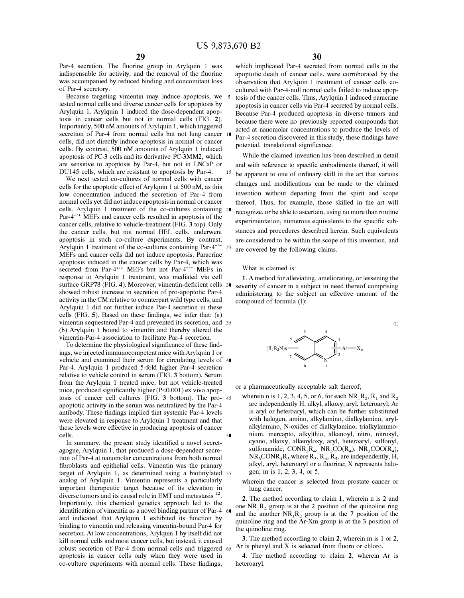Par-4 secretion. The fluorine group in Arylquin 1 was indispensable for activity, and the removal of the fluorine was accompanied by reduced binding and concomitant loss of Par-4 secretory.

Because targeting vimentin may induce apoptosis, we tested normal cells and diverse cancer cells for apoptosis by Arylquin 1. Arylquin 1 induced the dose-dependent apoptosis in cancer cells but not in normal cells (FIG. **2).**  Importantly, 500 nM amounts of Arylquin 1, which triggered secretion of Par-4 from normal cells but not lung cancer 10 cells, did not directly induce apoptosis in normal or cancer cells. By contrast, 500 nM amounts of Arylquin 1 induced apoptosis of PC-3 cells and its derivative PC-3MM2, which are sensitive to apoptosis by Par-4, but not in LNCaP or DU145 cells, which are resistant to apoptosis by Par-4.

We next tested co-cultures of normal cells with cancer cells for the apoptotic effect of Arylquin 1 at 500 nM, as this low concentration induced the secretion of Par-4 from normal cells yet did not induce apoptosis in normal or cancer cells. Arylquin 1 treatment of the co-cultures containing Par-4<sup>+/+</sup> MEFs and cancer cells resulted in apoptosis of the cancer cells, relative to vehicle-treatment (FIG. **3** top). Only the cancer cells, but not normal HEL cells, underwent apoptosis in such co-culture experiments. By contrast, Arylquin 1 treatment of the co-cultures containing Par- $4^{-/-}$ MEFs and cancer cells did not induce apoptosis. Paracrine apoptosis induced in the cancer cells by Par-4, which was secreted from Par-4<sup>+/+</sup> MEFs but not Par-4<sup>-/-</sup> MEFs in response to Arylquin 1 treatment, was mediated via cell surface GRP78 (FIG. 4). Moreover, vimentin-deficient cells 30 showed robust increase in secretion of pro-apoptotic Par-4 activity in the CM relative to counterpart wild type cells, and Arylquin 1 did not further induce Par-4 secretion in these cells (FIG. **5).** Based on these findings, we infer that: (a) vimentin sequestered Par-4 and prevented its secretion, and 35 (b) Arylquin 1 bound to vimentin and thereby altered the vimentin-Par-4 association to facilitate Par-4 secretion.

To determine the physiological significance of these findings, we injected immunocompetent mice withArylquin 1 or vehicle and examined their serum for circulating levels of 40 Par-4. Arylquin 1 produced 5-fold higher Par-4 secretion relative to vehicle control in serum (FIG. **3** bottom). Serum from the Arylquin 1 treated mice, but not vehicle-treated mice, produced significantly higher (P<0.001) ex vivo apoptosis of cancer cell cultures (FIG. **3** bottom). The pro- <sup>45</sup> apoptotic activity in the serum was neutralized by the Par-4 antibody. These findings implied that systemic Par-4 levels were elevated in response to Arylquin 1 treatment and that these levels were effective in producing apoptosis of cancer cells. 50

In summary, the present study identified a novel secretagogue, Arylquin 1, that produced a dose-dependent secretion of Par-4 at nanomolar concentrations from both normal fibroblasts and epithelial cells. Vimentin was the primary target of Arylquin 1, as determined using a biotinylated 55 analog of Arylquin 1. Vimentin represents a particularly important therapeutic target because of its elevation in diverse tumors and its causal role in EMT and metastasis  $^{12}$ . Importantly, this chemical genetics approach led to the identification of vimentin as a novel binding partner of Par-4 and indicated that Arylquin 1 exhibited its function by binding to vimentin and releasing vimentin-bound Par-4 for secretion. At low concentrations, Arylquin 1 by itself did not kill normal cells and most cancer cells, but instead, it caused robust secretion of Par-4 from normal cells and triggered 65 apoptosis in cancer cells only when they were used in co-culture experiments with normal cells. These findings,

which implicated Par-4 secreted from normal cells in the apoptotic death of cancer cells, were corroborated by the observation that Arylquin 1 treatment of cancer cells cocultured with Par-4-null normal cells failed to induce apoptosis of the cancer cells. Thus, Arylquin 1 induced paracrine apoptosis in cancer cells via Par-4 secreted by normal cells. Because Par-4 produced apoptosis in diverse tumors and because there were no previously reported compounds that acted at nanomolar concentrations to produce the levels of Par-4 secretion discovered in this study, these findings have potential, translational significance.

While the claimed invention has been described in detail and with reference to specific embodiments thereof, it will <sup>15</sup> be apparent to one of ordinary skill in the art that various changes and modifications can be made to the claimed invention without departing from the spirit and scope thereof. Thus, for example, those skilled in the art will recognize, or be able to ascertain, using no more than routine experimentation, numerous equivalents to the specific substances and procedures described herein. Such equivalents are considered to be within the scope of this invention, and  $25$  are covered by the following claims.

What is claimed is:

**1.** A method for alleviating, ameliorating, or lessening the severity of cancer in a subject in need thereof comprising administering to the subject an effective amount of the compound of formula (I):



(I)

or a pharmaceutically acceptable salt thereof;

- wherein n is 1, 2, 3, 4, 5, or 6, for each  $NR_1R_2$ ,  $R_1$  and  $R_2$ are independently H, alkyl, alkoxy, aryl, heteroaryl; Ar is aryl or heteroaryl, which can be further substituted with halogen, amino, alkylamino, dialkylamino, arylalkylamino, N-oxides of dialkylamino, trialkylammonium, mercapto, alkylthio, alkanoyl, nitro, nitrosyl, cyano, alkoxy, alkenyloxy, aryl, heteroaryl, sulfonyl, sulfonamide,  $CONF<sub>3</sub>R<sub>4</sub>$ ,  $NR<sub>3</sub>CO(R<sub>4</sub>)$ ,  $NR<sub>3</sub>COO(R<sub>4</sub>)$ ,  $NR_3CONF_4R_5$  where  $R_3$ ,  $R_4$ ,  $R_5$ , are independently, H, alkyl, aryl, heteroaryl or a fluorine; X represents halogen; m is 1, 2, 3, 4, or 5,
- wherein the cancer is selected from prostate cancer or lung cancer.

**2.** The method according to claim **1,** wherein n is 2 and one  $NR_1 R_2$  group is at the 2 position of the quinoline ring and the another  $NR_1R_2$ , group is at the 7 position of the quinoline ring and the Ar-Xm group is at the 3 position of the quinoline ring.

**3.** The method according to claim **2,** wherein m is 1 or 2, Ar is phenyl and X is selected from fluoro or chloro.

4. The method according to claim 2, wherein Ar is heteroaryl.